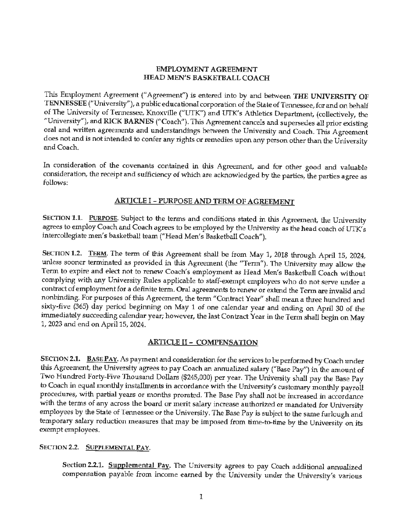## **EMPLOYMENT AGREEMENT HEAD MEN'S BASKETBALL COACH**

This Employment Agreement ("Agreement") is entered into by and between THE UNIVERSITY OF **TENNESSEE** ("University"), a public educational corporation of the State of Tennessee, for and on behalf of The University of Tennessee, Knoxville ("UTK") and UTK's Athletics Department, (collectively, the "University"), and **RICK BARNES** ("Coach"). This Agreement cancels and supersedes all prior existing oral and written agreements and understandings between the University and Coach. This Agreement does not and is not intended to confer any rights or remedies upon any person other than the University and Coach.

In consideration of the covenants contained in this Agreement, and for other good and valuable consideration, the receipt and sufficiency of which are acknowledged by the parties, the parties agree as follows:

# **ARTICLE** I - **PURPOSE AND TERM OF AGREEMENT**

SECTION 1.1. PURPOSE. Subject to the terms and conditions stated in this Agreement, the University agrees to employ Coach and Coach agrees to be employed by the University as the head coach of UTK's intercollegiate men's basketball team ("Head Men's Basketball Coach").

SECTION 1.2. TERM. The term of this Agreement shall be from May 1, 2018 through April 15, 2024, unless sooner terminated as provided in this Agreement (the "Term"). The University may allow the Term to expire and elect not to renew Coach's employment as Head Men's Basketball Coach without complying with any University Rules applicable to staff-exempt employees who do not serve under a contract of employment for a definite term. Oral agreements to renew or extend the Term are invalid and nonbinding. For purposes of this Agreement, the term "Contract Year" shall mean a three hundred and sixty-five (365) day period beginning on May 1 of one calendar year and ending on April 30 of the immediately succeeding calendar year; however, the last Contract Year in the Term shall begin on May 1, 2023 and end on April 15, 2024.

# **ARTICLE** II- **COMPENSATION**

SECTION 2.1. BASE **PAY.** As payment and consideration for the services to be performed by Coach under *this* Agreement, the University agrees to pay Coach an annualized salary ("Base Pay") in the amount of Two Hundred Forty-Five Thousand Dollars (\$245,000) per year. The University shall pay the Base Pay to Coach in equal monthly installments in accordance with the University's customary monthly payroll procedmes, with partial years or months prorated. The Base Pay shall not be increased in accordance with the terms of any across the board or merit salary increase authorized or mandated for University employees by the State of Tennessee or the University. The Base Pay *is* subject to the same furlough and temporary salary reduction measures that may be imposed from time-to-time by the University on its exempt employees.

# SECTION 2.2. SUPPLEMENTAL PAY.

**Section 2.2.1. Supplemental Pay.** The University agrees to pay Coach additional annualized compensation payable from income earned by the University under the University's various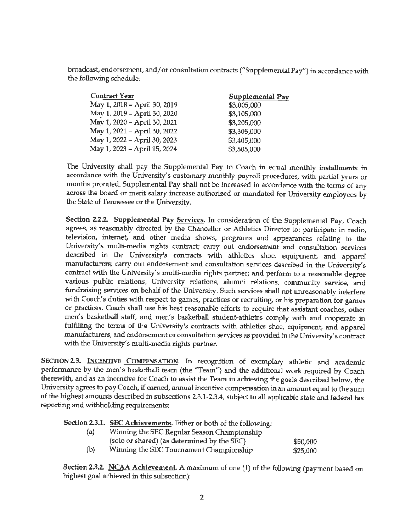broadcast, endorsement, and/ or consultation contracts ("Supplemental Pay") in accordance with the following schedule:

| <b>Contract Year</b>         | Supplemental Pay |
|------------------------------|------------------|
| May 1, 2018 - April 30, 2019 | \$3,005,000      |
| May 1, 2019 - April 30, 2020 | \$3,105,000      |
| May 1, 2020 - April 30, 2021 | \$3,205,000      |
| May 1, 2021 - April 30, 2022 | \$3,305,000      |
| May 1, 2022 - April 30, 2023 | \$3,405,000      |
| May 1, 2023 - April 15, 2024 | \$3,505,000      |

The University shall pay the Supplemental Pay to Coach in equal monthly installments in accordance with the University's customary monthly payroll procedures, with partial years or months prorated. Supplemental Pay shall not be increased in accordance with the terms of any across the board or merit salary increase authorized or mandated for University employees by the State of Tennessee or the University.

**Section 2.2.2. Supplemental Pay Services.** In consideration of the Supplemental Pay, Coach agrees, as reasonably directed by the Chancellor or Athletics Director to: participate in radio, television, internet, and other media shows, programs and appearances relating to the University's multi-media rights contract; carry out endorsement and consultation services described in the University's contracts with athletics shoe, equipment, and apparel manufacturers; carry out endorsement and consultation services described in the University's contract with the University's multi-media rights partner; and perform to a reasonable degree various public relations, University relations, alumni relations, community service, and fundraising services on behalf of the University. Such services shall not unreasonably interfere with Coach's duties with respect to games, practices or recruiting, or his preparation for games or practices. Coach shall use his best reasonable efforts to require that assistant coaches, other men's basketball staff, and men's basketball student-athletes comply with and cooperate in fulfilling the terms of the University's contracts with athletics shoe, equipment, and apparel manufacturers, and endorsement or consultation services as provided in the University's contract with the University's multi-media rights partner.

**SECTION 2.3. INCENTIVE COMPENSATION.** In recognition of exemplary athletic and academic performance by the men's basketball team (the "Team") and the additional work required by Coach therewith, and as an incentive for Coach to assist the Team in achieving the goals described below, the University agrees to pay Coach, if earned, annual incentive compensation in an amount equal to the sum of the highest amounts described in subsections 2.3.1-2.3.4, subject to all applicable state and federal tax reporting and withholding requirements:

**Section** 2.3.1. SEC **Achievements.** Either or both of the following:

| (a) | Winning the SEC Regular Season Championship |          |
|-----|---------------------------------------------|----------|
|     | (solo or shared) (as determined by the SEC) | \$50,000 |
| (b) | Winning the SEC Tournament Championship     | \$25,000 |

**Section 2.3.2. NCAA Achievement.** A maximum of one (1) of the following (payment based on highest goal achieved in this subsection):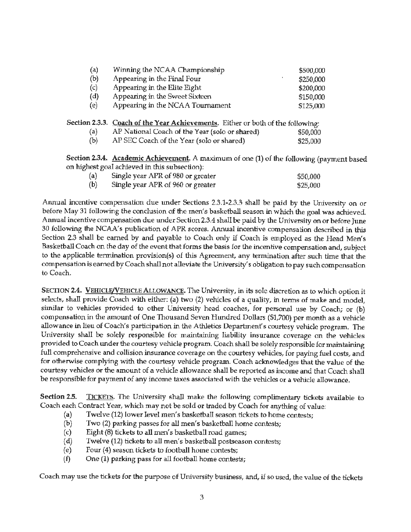| (a) | Winning the NCAA Championship    | \$500,000 |
|-----|----------------------------------|-----------|
| (b) | Appearing in the Final Four      | \$250,000 |
| (c) | Appearing in the Elite Eight     | \$200,000 |
| (d) | Appearing in the Sweet Sixteen   | \$150,000 |
| (e) | Appearing in the NCAA Tournament | \$125,000 |
|     |                                  |           |

### **Section 2.3.3. Coach of the Year Achievements.** Either or both of the following:

| (a) | AP National Coach of the Year (solo or shared) | \$50,000 |
|-----|------------------------------------------------|----------|
| (b) | AP SEC Coach of the Year (solo or shared)      | \$25,000 |

**Section 2.3.4. Academic Achievement.** A maximum of one (1) of the following (payment based on highest goal achieved in this subsection):

| (a) | Single year APR of 980 or greater | \$50,000 |
|-----|-----------------------------------|----------|
| (b) | Single year APR of 960 or greater | \$25,000 |

Annual incentive compensation due under Sections 2.3.1-2.3.3 shall be paid by the University on or before May 31 following the conclusion of the men's basketball season in which the goal was achieved. Annual incentive compensation due under Section 2.3.4 shall be paid by the University on or before June 30 following the NCAA's publication of APR scores. Annual incentive compensation described in this Section 2.3 shall be earned by and payable to Coach only if Coach is employed as the Head Men's Basketball Coach on the day of the event that forms the basis for the incentive compensation and, subject to the applicable termination provision(s) of this Agreement, any termination after such time that the compensation is earned by Coach shall not alleviate the University's obligation to pay such compensation to Coach.

SECTION 2.4. VEHICLE/VEHICLE ALLOWANCE. The University, in its sole discretion as to which option it selects, shall provide Coach with either: (a) two (2) vehicles of a quality, in terms of make and model, similar to vehicles provided to other University head coaches, for personal use by Coach; or (b) compensation in the amount of One Thousand Seven Hundred Dollars (\$1,700) per month as a vehicle allowance in lieu of Coach's participation in the Athletics Department's courtesy vehicle program. The University shall be solely responsible for maintaining liability insurance coverage on the vehicles provided to Coach under the courtesy vehicle program. Coach shall be solely responsible for maintaining full comprehensive and collision insurance coverage on the courtesy vehicles, for paying fuel costs, and for otherwise complying with the courtesy vehicle program. Coach acknowledges that the value of the courtesy vehicles or the amount of a vehicle allowance shall be reported as income and that Coach shall be responsible for payment of any income taxes associated with the vehicles or a vehicle allowance.

Section 2.5. TICKETS. The University shall make the following complimentary tickets available to Coach each Contract Year, which may not be sold or traded by Coach for anything of value;

- (a) Twelve (12) lower level men's basketball season tickets to home contests;
- (b) Two (2) parking passes for all men's basketball home contests;
- ( c) Eight (8) tickets to all men's basketball road games;
- {d) Twelve (12) tickets to all men's basketball postseason contests;
- (e) Four (4) season tickets to football home contests;
- $(f)$  One  $(1)$  parking pass for all football home contests;

Coach may use the tickets for the purpose of University business, and, if so used, the value of the tickets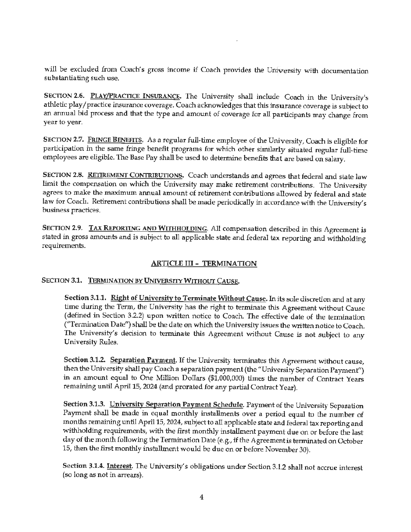will be excluded from Coach's gross income if Coach provides the University with documentation substantiating such use.

SECTION **2.6.** PLAY/PRACTICE INSURANCE. The University shall include Coach in the University's athletic play/ practice insurance coverage. Coach acknowledges that this insurance coverage is subject to an annual bid process and that the type and amount of coverage for all participants may change from year to year.

SECTION **2.7.** FRINGE **BENEFITS.** As a regular full-time employee of the University, Coach is eligible for participation in the same fringe benefit programs for which other similarly situated regular full-time employees are eligible. The Base Pay shall be used to determine benefits that are based on salary.

SECTION **2.8.** RETIREMENT CONTRIBUTIONS. Coach understands and agrees that federal and state law limit the compensation on which the University may make retirement contributions. The University agrees to make the maximum annual amount of retirement contributions allowed by federal and state law for Coach. Retirement contributions shall be made periodically in accordance with the University's business practices.

**SECTION 2.9. TAX REPORTING AND WITHHOLDING.** All compensation described in this Agreement **is**  stated in gross amounts and is subject to all applicable state and federal tax reporting and withholding requirements.

# **ARTICLE** III - **TERMINATION**

# **SECTION 3.1. TERMINATION BY UNIVERSITY WITHOUT CAUSE.**

Section 3.1.1. Right of University to Terminate Without Cause. In its sole discretion and at any time during the Term, the University has the right to terminate this Agreement without Cause (defined in Section 3.2.2) upon written notice to Coach. The effective date of the termination ("Termination Date") shall be the date on which the University issues the written notice to Coach. The University's decision to terminate this Agreement without Cause is not subject to any University Rules.

Section 3.1.2. Separation Payment. If the University terminates this Agreement without cause, then the University shall pay Coach a separation payment (the "University Separation Payment'') in an amount equal to One Million Dollars (\$1,000,000) times the number of Contract Years remaining until April 15, 2024 (and prorated for any partial Contract Year).

Section 3.1.3. University Separation Payment Schedule. Payment of the University Separation Payment shall be made in equal monthly installments over a period equal to the number of months remaining until April 15, 2024, subject to all applicable state and federal tax reporting and withholding requirements, with the first monthly installment payment due on or before the last day of the month following the Termination Date (e.g., if the Agreement is terminated on October 15, then the first monthly installment would be due on or before November 30).

**Section 3.1.4. Interest.** The University's obligations under Section 3.1.2 shall not accrue interest (so long as not in arrears).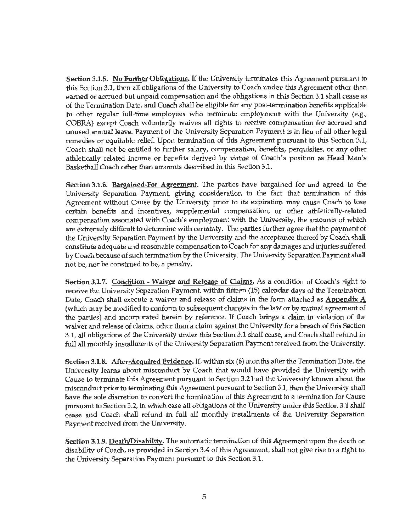**Section** 3.1.5. **No Further Obligations.** If the University terminates this Agreement pursuant to this Section 3.1, then all obligations of the University to Coach under *this* Agreement other than earned or accrued but unpaid compensation and the obligations in this Section 3.1 shall cease as of the Termination Date, and Coach shall be eligible for any post-termination benefits applicable to other regular full-time employees who terminate employment with the University (e.g., COBRA) except Coach voluntarily waives all rights to receive compensation for accrued and unused annual leave. Payment of the University Separation Payment is in lieu of all other legal remedies or equitable relief. Upon termination of this Agreement pursuant to this Section 3.1, Coach shall not be entitled to further salary, compensation, benefits, perquisites, or any other athletically related income or benefits derived by virtue of Coach's position as Head Men's Basketball Coach other than amounts described in this Section 3.1.

**Section 3.1.6. Bargained-For Agreement.** The parties have bargained for and agreed to the University Separation Payment, giving consideration to the fact that termination of this Agreement without Cause by the University prior to its expiration may cause Coach to lose certain benefits and incentives, supplemental compensation, or other athletically-related compensation associated with Coach's employment with the University, the amounts of which are extremely difficult to determine with certainty. The parties further agree that the payment of the University Separation Payment by the University and the acceptance thereof by Coach shall constitute adequate and reasonable compensation to Coach for any damages and injuries suffered by Coach because of such termination by the University. The University Separation Payment shall not be, nor be construed to be, a penalty.

**Section 3.1.7. Condition** - **Waiver and Release of Oaims.** As a condition of Coach's right to receive the University Separation Payment, within fifteen (15) calendar days of the Termination Date, Coach shall execute a waiver and release of claims in the form attached as **Appendix A**  (which may be modified to conform to subsequent changes in the law or by mutual agreement of the parties) and incorporated herein by reference. If Coach brings a claim in violation of the waiver and release of claims, other than a claim against the University for a breach of this Section 3.1, all obligations of the University under this Section 3.1 shall cease, and Coach shall refund in full all monthly installments of the University Separation Payment received from the University.

**Section 3.1.8. After-Acquired Evidence.** If, within six (6) months after the Termination Date, the University learns about misconduct by Coach **that** would have provided the University with Cause to terminate this Agreement pursuant to Section 3.2 had the University known about the misconduct prior to terminating this Agreement pursuant to Section 3.1, then the University shall have the sole discretion to convert the termination of this Agreement to a termination for Cause pursuant to Section 3.2, in which case all obligations of the University under this Section 3.1 shall cease and Coach shall refund in full all monthly installments of the University Separation Payment received from the University.

Section 3.1.9. Death/Disability. The automatic termination of this Agreement upon the death or disability of Coach, as provided in Section 3.4 of this Agreement, shall not give rise to a right to the University Separation Payment pursuant to this Section 3.1.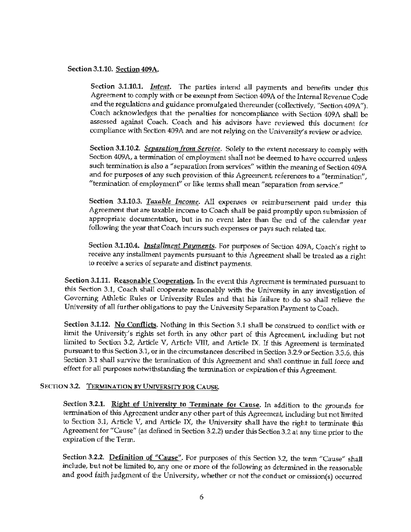### Section 3.1.10. Section 409A.

Section 3.1.10.1. *Intent.* The parties intend all payments and benefits under this Agreement to comply with or be exempt from Section 409A of the Internal Revenue Code and the regulations and guidance promulgated thereunder (collectively, "Section 409A"). Coach acknowledges that the penalties for noncompliance with Section 409A shall be assessed against Coach. Coach and his advisors have reviewed this document for compliance with Section 409A and are not relying on the University's review or advice.

Section 3.1.10.2. *Separation from Service.* Solely to the extent necessary to comply with Section 409A, a termination of employment shall not be deemed to have occurred unless such termination *is* also a "separation from services" within the meaning of Section 409 A and for purposes of any such provision of this Agreement, references to a "termination", "termination of employment" or like terms shall mean "separation from service."

Section **3.1.10.3.** *Taxable Income.* All expenses or reimbursement paid under this Agreement that are taxable income to Coach shall be paid promptly upon submission of appropriate documentation, but in no event later than the end of the calendar year following the year that Coach incurs such expenses or pays such related tax.

Section 3.1.10.4. *Installment Payments.* For purposes of Section 409A, Coach's right to receive any installment payments pursuant to this Agreement shall be treated as a right to receive a series of separate and distinct payments.

**Section 3.1.11. Reasonable Cooperation.** In the event this Agreement is terminated pursuant to this Section 3.1, Coach shall cooperate reasonably with the University in any investigation of Governing Athletic Rules or University Rules and that his failure to do so shall relieve the University of all further obligations to pay the University Separation Payment to Coach.

Section 3.1.12. No Conflicts. Nothing in this Section 3.1 shall be construed to conflict with or limit the University's rights set forth in any other part of this Agreement, including but not limited to Section 3.2, Article V, Article VIII, and Article IX. If this Agreement is terminated pursuant to this Section 3.1, or in the circumstances described in Section 3.2.9 or Section 3.3.6, this Section 3.1 shall survive the termination of this Agreement and shall continue in full force and effect for all purposes notwithstanding the termination or expiration of this Agreement.

## SECTION **3.2. TERMJNATJON BY UNIVERSITY FOR** CAUSE.

Section 3.2.1. Right of University to Terminate for Cause. In addition to the grounds for termination of this Agreement under any other part of this Agreement, including but not limited to Section 3.1, Article V, and Article IX, the University shall have the right to terminate this Agreement for "Cause" (as defined in Section 3.2.2) under this Section3.2 at any time prior to the expiration of the Term.

**Section 3.2.2. Definition of "Cause".** For purposes of this Section 3.2, the term "Cause" shall include, but not be limited to, any one or more of the following as determined in the reasonable and good faith judgment of the University, whether or not the conduct or omission(s) occurred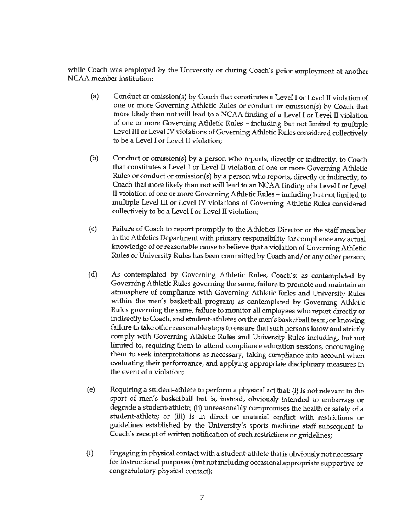while Coach was employed by the University or during Coach's prior employment at another NCAA member institution:

- (a) Conduct or omission(s) by Coach that constitutes a Level I or Level II violation of one or more Governing Athletic Rules or conduct or omission(s) by Coach that more likely than not will lead to a NCAA finding of a Level I or Level II violation of one or more Governing Athletic Rules - including but not limited to multiple Level III or Level IV violations of Governing Athletic Rules considered collectively to be a Level I or Level II violation;
- (b) Conduct or omission(s) by a person who reports, directly or indirectly, to Coach that constitutes a Level I or Level II violation of one or more Governing Athletic Rules or conduct or omission(s) by a person who reports, directly or indirectly, to Coach that more likely than not will lead to an NCAA finding of a Level I or Level II violation of one or more Governing Athletic Rules - including but not limited to multiple Level III or Level IV violations of Governing Athletic Rules considered collectively to be a Level I or Level II violation;
- (c) Failure of Coach to report promptly to the Athletics Director or the staff member in the Athletics Department with primary responsibility for compliance any actual knowledge of or reasonable cause to believe that a violation of Governing Athletic Rules or University Rules has been committed by Coach and/ or any other person;
- (d) As contemplated by Governing Athletic Rules, Coach's: as contemplated by Governing Athletic Rules governing the same, failure to promote and maintain an atmosphere of compliance with Governing Athletic Rules and University Rules within the men's basketball program; as contemplated by Governing Athletic Rules governing the same, failure to monitor all employees who report directly or indirectly to Coach, and student-athletes on the men's basketball team; or knowing failure to take other reasonable steps to ensure that such persons know and strictly comply with Governing Athletic Rules and University Rules including, but not limited to, requiring them to attend compliance education sessions, encouraging them to seek interpretations as necessary, taking compliance into account when evaluating their performance, and applying appropriate disciplinary measures in the event of a violation;
- ( e) Requiring a student-athlete to perform a physical act that: (i) is not relevant to the sport of men's basketball but is, instead, obviously intended to embarrass or degrade a student-athlete; (ii) unreasonably compromises the health or safety of a student-athlete; or (iii) is in direct or material conflict with restrictions or guidelines established by the University's sports medicine staff subsequent to Coach's receipt of written notification of such restrictions or guidelines;
- (f) Engaging in physical contact with a student-athlete thatis obviously not necessary for instructional purposes (but not including occasional appropriate supportive or congratulatory physical contact);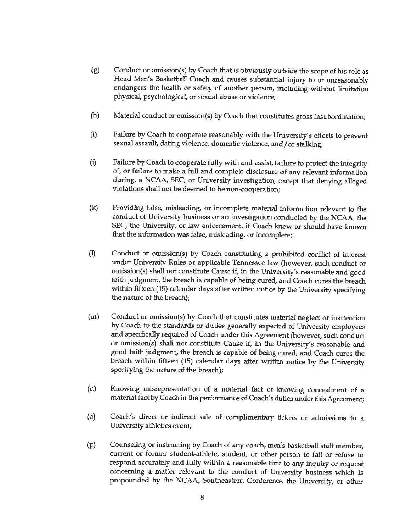- (g) Conduct or omission(s) by Coach that is obviously outside the scope of his role as Head Men's Basketball Coach and causes substantial injury to or unreasonably endangers the health or safety of another person, including without limitation physical, psychological, or sexual abuse or violence;
- (h) Material conduct or omission(s) by Coach that constitutes gross insubordination;
- (i) Failure by Coach to cooperate reasonably with the University's efforts to prevent sexual assault, dating violence, domestic violence, and/or stalking;
- 0) Failure by Coach to cooperate fully with and assist, failure to protect the integrity of, or failure to make a full and complete disclosure of any relevant information during, a NCAA, SEC, or University investigation, except that denying alleged violations shall not be deemed to be non-cooperation;
- (k) Providing false, misleading, or incomplete material information relevant to the conduct of University business or an investigation conducted by the NCAA, the SEC, the University, or law enforcement, if Coach knew or should have known that the information was false, misleading, or incomplete;
- (I) Conduct or omission(s) by Coach constituting a prohibited conflict of interest under University Rules or applicable Tennessee law (however, such conduct or omission(s) shall not constitute Cause if, in the University's reasonable and good faith judgment, the breach is capable of being cured, and Coach cures the breach within fifteen (15) calendar days after written notice by the University specifying the nature of the breach);
- (m) Conduct or omission{s) by Coach that constitutes material neglect or inattention by Coach to the standards or duties generally expected of University employees and specifically required of Coach under this Agreement (however, such conduct or omission(s) shall not constitute Cause if, in the University's reasonable and good faith judgment, the breach is capable of being cured, and Coach cures the breach within fifteen (15) calendar days after written notice by the University specifying the nature of the breach);
- $(n)$  Knowing misrepresentation of a material fact or knowing concealment of a material fact by Coach in the performance of Coach's duties under this Agreement;
- (o) Coach's direct or indirect sale of complimentary tickets or admissions to a University athletics event;
- (p) Counseling or instructing by Coach of any coach, men's basketball staff member, current or former student-athlete, student, or other person to fail or refuse to respond accurately and fully within a reasonable time to any inquiry or request concerning a matter relevant to the conduct of University business which is propounded by the NCAA, Southeastern Conference, the University, or other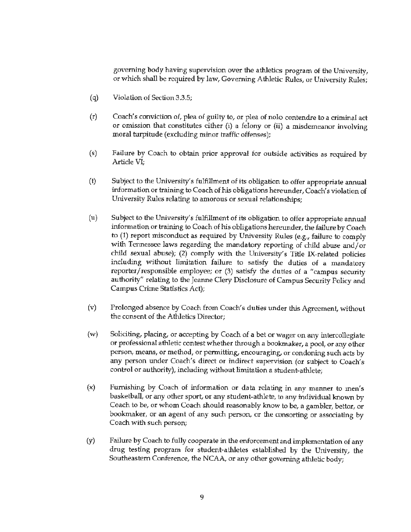governing body having supervision over the athletics program of the University, or which shall be required by law, Governing Athletic Rules, or University Rules;

- ( q) Violation of Section 3.3.5;
- (r) Coach's conviction of, plea of guilty to, or plea of nolo contendre to a criminal act or omission that constitutes either (i) a felony or (ii) a misdemeanor involving moral turpitude (excluding minor traffic offenses);
- (s) Failure by Coach to obtain prior approval for outside activities as required by Article VI;
- (t) Subject to the University's fulfillment of its obligation to offer appropriate annual information or training to Coach of his obhgations hereunder, Coach's violation of University Rules relating to amorous or sexual relationships;
- (u) Subject to the University's fulfillment of its obligation to offer appropriate annual information or training to Coach of his obligations hereunder, the failure by Coach to (1) report misconduct as required by University Rules (e.g., failure to comply with Tennessee laws regarding the mandatory reporting of child abuse and/ or child sexual abuse); (2) comply with the University's Title IX-related policies including without limitation failure to satisfy the duties of a mandatory reporter/responsible employee; or (3) satisfy the duties of a "campus security authority" relating to the Jeanne Clery Disclosure of Campus Security Policy and Campus Crime Statistics Act);
- (v) Prolonged absence by Coach from Coach's duties under this Agreement, without the consent of the Athletics Director;
- (w) Soliciting, placing, or accepting by Coach of a bet or wager on any intercollegiate or professional athletic contest whether through a bookmaker, a pool, or any other person, means, or method, or permitting, encouraging, or condoning such acts by any person under Coach's direct or indirect supervision (or subject to Coach's control or authority), including without limitation a student-athlete;
- (x) Furnishing by Coach of information or data relating in any manner to men's basketball, or any other sport, or any student-athlete, to any individual known by Coach to be, or whom Coach should reasonably know to be, a gambler, bettor, or bookmaker, or an agent of any such person, or the consorting or associating by Coach with such person;
- (y) Failure by Coach to fully cooperate in the enforcement and implementation of any drug testing program for student-athletes established by the University, the Southeastern Conference, the NCAA, or any other governing athletic body;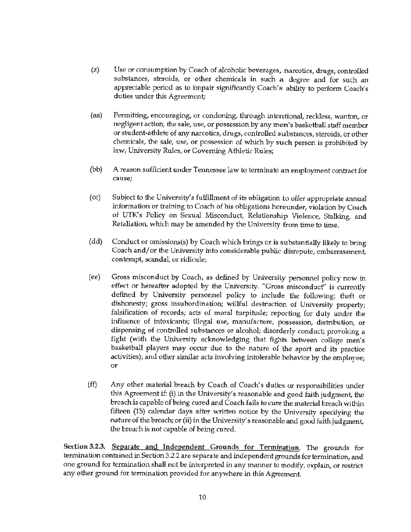- (z) Use or consumption by Coach of alcoholic beverages, narcotics, drugs, controlled substances, steroids, or other chemicals in such a degree and for such an appreciable period as to impair significantly Coach's ability to perform Coach's duties under this Agreement;
- (aa) Permitting, encouraging, or condoning, through intentional, reckless, wanton, or negligent action, the sale, use, or possession by any men's basketball staff member or student-athlete of any narcotics, drugs, controlled substances, steroids, or other chemicals, the sale, use, or possession of which by such person is prohibited by law, University Rules, or Governing Athletic Rules;
- (bb) A reason sufficient under Tennessee law to terminate an employment contract for cause;
- (cc) Subject to the University's fulfillment of its obligation to offer appropriate annual information or training to Coach of his obligations hereunder, violation by Coach of UTK's Policy on Sexual Misconduct, Relationship Violence, Stalking, and Retaliation, which may be amended by the University from time to time.
- (dd) Conduct or omissions(s) by Coach which brings or is substantially likely to bring Coach and/ or the University into considerable public disrepute, embarrassment, contempt, scandal, or ridicule;
- (ee) Gross misconduct by Coach, as defined by University personnel policy now in effect or hereafter adopted by the University. "Gross misconduct'' is currently defined by University personnel policy to include the following: theft or dishonesty; gross insubordination; willful desbuction of University property; falsification of records; acts of moral turpitude; reporting for duty under the influence of intoxicants; illegal use, manufacture, possession, distribution, or dispensing of controlled substances or alcohol; disorderly conduct; provoking a fight (with the University acknowledging that fights between college men's basketball players may occur due to the nature of the sport and its practice activities); and other similar acts involving intolerable behavior by the employee; or
- (ff) Any other material breach by Coach of Coach's duties or responsibilities under this Agreement if: (i) in the University's reasonable and good faith judgment, the breach is capable of being cured and Coach fails to cure the material breach within fifteen (15) calendar days after written notice by the University specifying the nature of the breach; or (ii) in the University's reasonable and good faith judgment, the breach is not capable of being cured.

**Section 3.2.3. Separate and Independent Grounds for Termination.** The grounds for termination contained in Section 3.2.2 are separate and independent grounds for termination, and one ground for termination shall not be interpreted in any manner to modify, explain, or restrict any other ground for termination provided for anywhere in this Agreement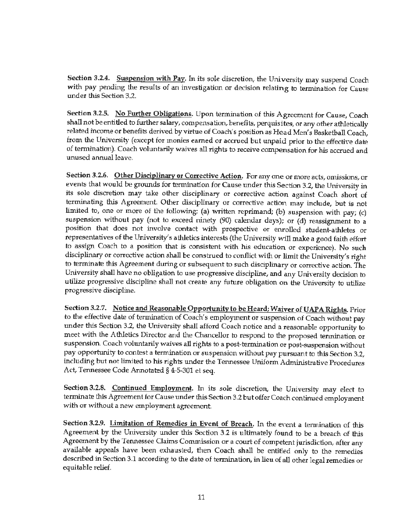Section 3.2.4. Suspension with Pay. In its sole discretion, the University may suspend Coach with pay pending the results of an investigation or decision relating to termination for Cause under this Section 3.2.

Section 3.2.5. No Further Obligations. Upon termination of this Agreement for Cause, Coach shall not be entitled to further salary, compensation, benefits, perquisites, or any other athletically related income or benefits derived by virtue of Coach's position as Head Men's Basketball Coach, from the University (except for monies earned or accrued but unpaid prior to the effective date of termination). Coach voluntarily waives all rights to receive compensation for his accrued and unused annual leave.

**Section 3.2.6. Other Disciplinary or Corrective Action.** For any one or more acts, omissions, or events that would be grounds for termination for Cause under this Section 3.2, the University in its sole discretion may take other disciplinary or corrective action against Coach short of terminating this Agreement. Other disciplinary or corrective action may include, but is not limited to, one or more of the following: (a) written reprimand; (b) suspension with pay; (c) suspension without pay (not to exceed ninety (90) calendar days); or (d) reassignment to a position that does not involve contact with prospective or enrolled student-athletes or representatives of the University's athletics interests (the University will make a good faith effort to assign Coach to a position that is consistent with his education or experience). No such disciplinary or corrective action shall be construed to conflict with or limit the University's right to terminate this Agreement during or subsequent to such disciplinary or corrective action. The University shall have no obligation to use progressive discipline, and any University decision to utilize progressive discipline shall not create any future obligation on the University to utilize progressive discipline.

Section 3.2.7. Notice and Reasonable Opportunity to be Heard; Waiver of UAPA Rights. Prior to the effective date of termination of Coach's employment or suspension of Coach without pay under this Section 3.2, the University shall afford Coach notice and a reasonable opportunity to meet with the Athletics Director and the Chancellor to respond to the proposed termination or suspension. Coach voluntarily waives all rights to a post-termination or post-suspension without pay opportunity to contest a termination or suspension without pay pursuant to this Section 3.2, including but not limited to his rights under the Tennessee Uniform Administrative Procedures Act, Tennessee Code Annotated§ 4-5-301 et seq.

Section 3.2.8. Continued Employment. In its sole discretion, the University may elect to terminate this Agreement for Cause under this Section 3.2 but offer Coach continued employment with or without a new employment agreement.

**Section 3.2.9. Limitation** of **Remedies** in **Event** of **Breach.** In the event a termination of this Agreement by the University under this Section 3.2 is ultimately found to be a breach of this Agreement by the Tennessee Oaims Commission or a court of competent jurisdiction, after any available appeals have been exhausted, then Coach shall be entitled only to the remedies described in Section 3.1 according to the date of termination, in lieu of all other legal remedies or equitable relief.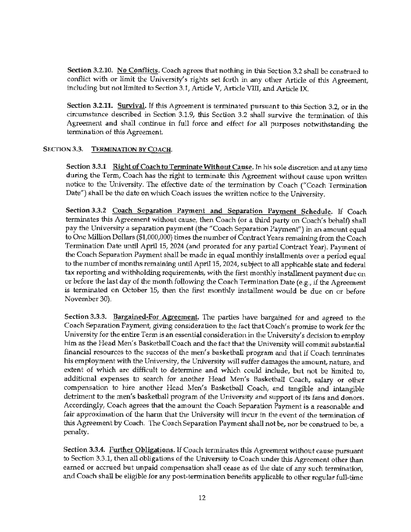Section 3.2.10. No Conflicts. Coach agrees that nothing in this Section 3.2 shall be construed to conflict with or limit the University's rights set forth in any other Article of this Agreement, including but not limited to Section 3.1, Article V, Article VITI, and Article IX.

**Section 3.2.11. Survival.** If this Agreement is terminated pursuant to this Section 3.2, or in the circumstance described in Section 3.1.9, this Section 3.2 shall survive the termination of this Agreement and shall continue in full force and effect for all purposes notwithstanding the termination of this Agreement.

### **SECTION 3.3. TERMINATION BY COACH.**

Section 3.3.1 Right of Coach to Terminate Without Cause. In his sole discretion and at any time during the Term, Coach has the right to terminate this Agreement without cause upon written notice to the University. The effective date of the termination by Coach ("Coach Termination Date") shall be the date on which Coach issues the written notice to the University.

Section 3.3.2 Coach Separation Payment and Separation Payment Schedule. If Coach terminates this Agreement without cause, then Coach (or a third party on Coach's behalf) shall pay the University a separation payment (the "Coach Separation Payment") in an amount equal to One Million Dollars (\$1,000,000) times the number of Contract Years remaining from the Coach Termination Date until April 15, 2024 (and prorated for any partial Contract Year). Payment of the Coach Separation Payment shall be made in equal monthly installments over a period equal to the number of months remaining until April 15, 2024, subject to all applicable state and federal tax reporting and withholding requirements, with the first monthly installment payment due on or before the last day of the month following the Coach Termination Date (e.g., if the Agreement is terminated on October 15, then the first monthly installment would be due on or before November 30).

**Section 3.3.3. Bargained-For Agreement.** The parties have bargained for and agreed to the Coach Separation Payment, giving consideration to the fact that Coach's promise to work for the University for the entire Term is an essential consideration in the University's decision to employ him as the Head Men's Basketball Coach and the fact that the University will commit substantial financial resources to the success of the men's basketball program and that if Coach terminates his employment with the University, the University will suffer damages the amount, nature, and extent of which are difficult to determine and which could include, but not be limited to, additional expenses to search for another Head Men's Basketball Coach, salary or other compensation to hire another Head Men's Basketball Coach, and tangible and intangible detriment to the men's basketball program of the University and support of its fans and donors. Accordingly, Coach agrees that the amount the Coach Separation Payment is a reasonable and fair approximation of the harm that the University will incur in the event of the termination of this Agreement by Coach. The Coach Separation Payment shall not be, nor be construed to be, a penalty.

Section 3.3.4. Further Obligations. If Coach terminates this Agreement without cause pursuant to Section 3.3.1, then all obligations of the University to Coach under this Agreement other than earned or accrued but unpaid compensation shall cease as of the date of any such termination, and Coach shall be eligible for any post-termination benefits applicable to other regular full-time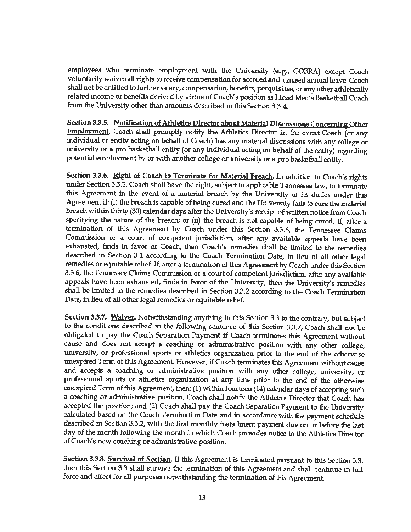employees who terminate employment with the University (e.g., COBRA) except Coach voluntarily waives all rights to receive compensation for accrued and unused annual leave. Coach shall not be entitled to further salary, compensation, benefits, perquisites, or any other athletically related income or benefits derived by virtue of Coach's position as Head Men's Basketball Coach from the University other than amounts described in this Section 3.3.4.

Section 3.3.5. Notification of Athletics Director about Material Discussions Concerning Other Employment. Coach shall promptly notify the Athletics Director in the event Coach (or any individual or entity acting on behalf of Coach) has any material discussions with any college or university or a pro basketball entity (or any individual acting on behalf of the entity) regarding potential employment by or with another college or university or a pro basketball entity.

Section 3.3.6. Right of Coach to Terminate for Material Breach. In addition to Coach's rights under Section 3.3.1, Coach shall have the right, subject to applicable Tennessee law, to terminate this Agreement in the event of a material breach by the University of its duties under this Agreement if: (i) the breach is capable of being cured and the University fails to cure the material breach within thirty (30) calendar days after the University's receipt of written notice from Coach specifying the nature of the breach; or (ii) the breach is not capable of being cured. If, after a termination of this Agreement by Coach under this Section 3.3.6, the Tennessee Oaims Commission or a court of competent jurisdiction, after any available appeals have been exhausted, finds in favor of Coach, then Coach's remedies shall be limited to the remedies described in Section 3.1 according to the Coach Termination Date, in lieu of all other legal remedies or equitable relief. If, after a termination of this Agreement by Coach under this Section 3.3.6, the Tennessee Claims Commission or a court of competent jurisdiction, after any available appeals have been exhausted, finds in favor of the University, then the University's remedies shall be limited to the remedies described in Section 3.3.2 according to the Coach Termination Date, in lieu of all other legal remedies or equitable relief.

**Section** 3.3.7. **Waiver.** Notwithstanding anything in this Section 3.3 to the contrary, but subject to the conditions described in the following sentence of this Section 3.3.7, Coach shall not be obligated to pay the Coach Separation Payment if Coach terminates this Agreement without cause and does not accept a coaching or administrative position with any other college, university, or professional sports or athletics organization prior to the end of the otherwise unexpired Term of this Agreement However, if Coach terminates this Agreement without cause and accepts a coaching or administrative position with any other college, university, or professional sports or athletics organization at any time prior to the end of the otherwise unexpired Term of this Agreement, then: (1) within fourteen (14) calendar days of accepting such a coaching or administrative position, Coach shall notify the Athletics Director that Coach has accepted the position; and (2) Coach shall pay the Coach Separation Payment to the University calculated based on the Coach Tennination Date and in accordance with the payment schedule described in Section 3.3.2, with the first monthly installment payment due on or before the last day of the month following the month in which Coach provides notice to the Athletics Director of Coach's new coaching or administrative position.

**Section 3.3.8. Survival of Section.** If this Agreement is terminated pursuant to this Section 3.3, then this Section 3.3 shall survive the termination of this Agreement and shall continue in full force and effect for all purposes notwithstanding the termination of this Agreement.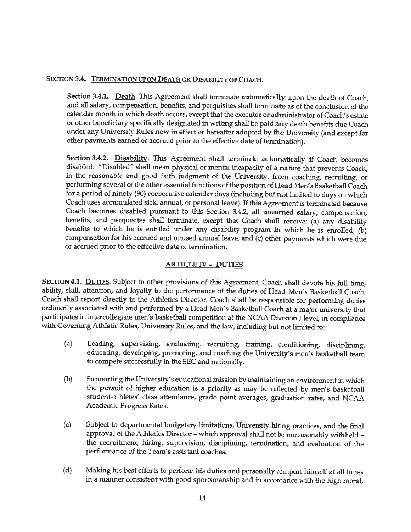### **SECTION 3.4. TERMINATION UPON** DEATH **OR DISABILITY** OF **COACH.**

**Section 3.4.1. Death.** This Agreement shall terminate automatically upon the death of Coach, and all salary, compensation, benefits, and perquisites shall terminate as of the conclusion of the calendar month in which death occurs, except that the executor or administrator of Coach's estate or other beneficiary specifically designated in writing shall be paid any death benefits due Coach under any University Rules now in effect or hereafter adopted by the University (and except for other payments earned or accrued prior to the effective date of termination).

Section 3.4.2. Disability. This Agreement shall terminate automatically if Coach becomes disabled. "Disabled" shall mean physical or mental incapacity of a nature that prevents Coach, in the reasonable and good faith judgment of the University, from coaching, recruiting, or performing several of the other essential functions of the position of Head Men's Basketball Coach for a period of ninety (90) consecutive calendar days (including but not limited to days on which Coach uses accumulated sick, annual, or personal leave). If this Agreement is terminated because Coach becomes disabled pursuant to this Section 3.4.2, all unearned salary, compensation, benefits, and perquisites shall terminate, except that Coach shall receive: (a) any disability benefits to which he is entitled under any disability program in which he is enrolled; (b) compensation for his accrued and unused annual leave; and (c) other payments which were due or accrued prior to the effective date of termination.

## ARTICLE IV- DUTIES

SECTION **4.1.** DUTIES. Subject to other provisions of this Agreement, Coach shall devote his full time, ability, skill, attention, and loyalty to the performance of the duties of Head Men's Basketball Coach. Coach shall report directly to the Athletics Director. Coach shall be responsible for performing duties ordinarily associated with and performed by a Head Men's Basketball Coach at a major university that participates in intercollegiate men's basketball competition at the NCAA Division I level, in compliance with Governing Athletic Rules, University Rules, and the law, including but not limited to:

- (a) Leading, supervising, evaluating, recruiting, training, conditioning, disciplining, educating, developing, promoting, and coaching the University's men's basketball team to compete successfully in the SEC and nationally.
- (b) Supporting the University's educational mission by maintaining an environment in which the pursuit of higher education is a priority as may be reflected by men's basketball student-athletes' class attendance, grade point averages, graduation rates, and NCAA Academic Progress Rates.
- {c) Subject to deparbnental budgetary limitations, University hiring practices, and the final approval of the Athletics Director - which approval shall not be unreasonably withheld the recruitment, hiring, supervision, disciplining, termination, and evaluation of the performance of the Team's assistant coaches.
- (d) Making his best efforts to perform his duties and personally comport himself at all times in a manner consistent with good sportsmanship and in accordance with the high moral,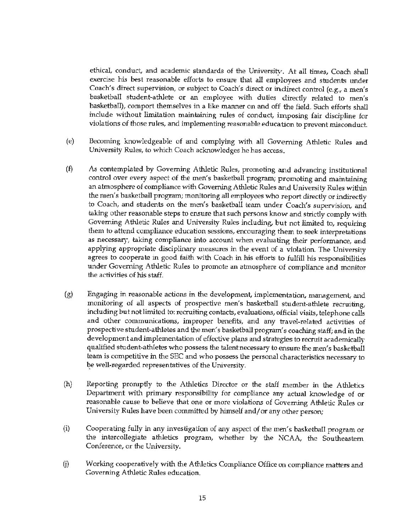ethical, conduct, and academic standards of the University. At all times, Coach shall exercise his best reasonable efforts to ensure that all employees and students under Coach's direct supervision, or subject to Coach's direct or indirect control (e.g., a men's basketball student-athlete or an employee with duties directly related to men's basketball), comport themselves in a like manner on and off the field. Such efforts shall include without limitation maintaining rules of conduct, imposing fair discipline for violations of those rules, and implementing reasonable education to prevent misconduct.

- (e) Becoming knowledgeable of and complying with all Governing Athletic Rules and University Rules, to which Coach acknowledges he has access.
- (f) As contemplated by Governing Athletic Rules, promoting and advancing institutional control over every aspect of the men's basketball program; promoting **and** maintaining an atmosphere of compliance with Governing Athletic Rules and University Rules within the men's basketball program; monitoring all employees who report directly or indirectly to Coach, and students on the men's basketball team under Coach's supervision, and taking other reasonable steps to ensure that such persons know and strictly comply with Governing Athletic Rules and University Rules including, but not limited to, requiring them to attend compliance education sessions, encouraging them to seek interpretations as necessary, taking compliance into account when evaluating their performance, and applying appropriate disciplinary measures in the event of a violation. The University agrees to cooperate in good faith with Coach in his efforts to fulfill his responsibilities under Governing Athletic Rules to promote an atmosphere of compliance and monitor the activities of his staff.
- (g) Engaging in reasonable actions in the development, implementation, management, and monitoring of all aspects of prospective men's basketball student-athlete recruiting, including but not limited to: recruiting contacts, evaluations, official visits, telephone calls and other communications, improper benefits, and any travel-related activities of prospective student-athletes and the men's basketball program's coaching staff; and in the development and implementation of effective plans and strategies to recruit academically qualified student-athletes who possess the talent necessary to ensure the men's basketball team is competitive in the SEC and who possess the personal characteristics necessary to be well-regarded representatives of the University.
- (h) Reporting promptly to the Athletics Director or the staff member in the Athletics Department with primary responsibility for compliance any actual knowledge of or reasonable cause to believe that one or more violations of Governing Athletic Rules or University Rules have been committed by himself and/ or any other person;
- (i) Cooperating fully in any investigation of any aspect of the men's basketball program or the intercollegiate athletics program, whether by the NCAA, the Southeastern Conference, or the University.
- G) Working cooperatively with the Athletics Compliance Office on compliance matters and Governing Athletic Rules education.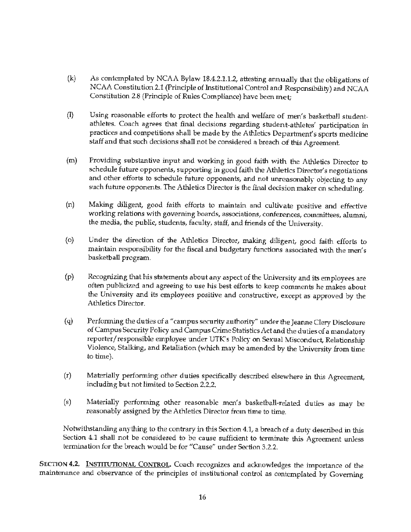- (k) As contemplated by NCAA Bylaw 18.4.2.1.1.2, attesting annually that the obligations of NCAA Constitution 2.1 (Principle of Institutional Control and Responsibility) and NCAA Constitution 2.8 (Principle of Rules Compliance) have been met;
- (I) Using reasonable efforts to protect the health and welfare of men's basketball studentathletes. Coach agrees that final decisions regarding student-athletes' participation in practices and competitions shall be made by the Athletics Department's sports medicine staff and that such decisions shall not be considered a breach of this Agreement.
- (m) Providing substantive input and working in good faith with the Athletics Director to schedule future opponents, supporting in good faith the Athletics Director's negotiations and other efforts to schedule future opponents, and not unreasonably objecting to any such future opponents. The Athletics Director is the final decision maker on scheduling.
- (n) Making diligent, good faith efforts to maintain and cultivate positive and effective working relations with governing boards, associations, conferences, committees, alumni, the media, the public, students, faculty, staff, and friends of the University.
- (o) Under the direction of the Athletics Director, making diligent, good faith efforts to maintain responsibility for the fiscal and budgetary functions associated with the men's basketball program.
- (p) Recognizing that his statements about any aspect of the University and its employees are often publicized and agreeing to use his best efforts to keep comments he makes about the University and its employees positive and constructive, except as approved by the Athletics Director.
- (q) Performing the duties of a "campus security authority" under the Jeanne Clery Disclosure of Campus Security Policy and Campus Crime Statistics Act and the duties of a mandatory reporter/ responsible employee under UTK's Policy on Sexual Misconduct, Relationship Violence, Stalking, and Retaliation (which may be amended by the University from time to time).
- (r) Materially performing other duties specifically described elsewhere in this Agreement, including but not limited to Section 2.2.2.
- (s) Materially performing other reasonable men's basketball-related duties as may be reasonably assigned by the Athletics Director from time to time.

Notwithstanding anything to the contrary in this Section 4.1, a breach of a duty described in this Section 4.1 shall not be considered to be cause sufficient to terminate this Agreement unless termination for the breach would be for "Cause" under Section 3.2.2.

SECTION **4.2.** INSTITUTIONAL CONTROL. Coach recognizes and acknowledges the importance of the maintenance and observance of the principles of institutional control as contemplated by Governing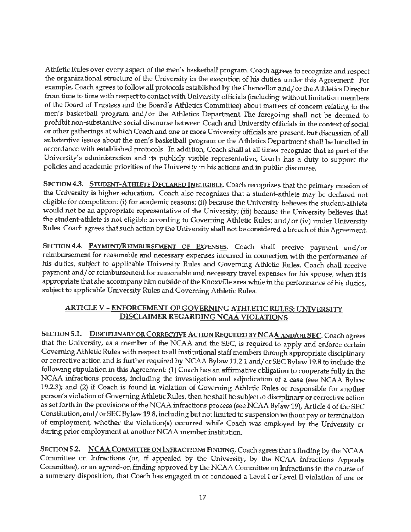Athletic Rules over every aspect of the men's basketball program. Coach agrees *to* recognize and respect the organizational structure of the University in the execution of his duties under this Agreement. For example, Coach agrees to follow all protocols established by the Chancellor and/ or the Athletics Director from time to time with respect to contact with University officials (including without limitation members of the Board of Trustees and the Board's Athletics Committee) about matters of concern relating to the men's basketball program and/or the Athletics Department. The foregoing shall not be deemed to prohibit non-substantive social discourse between Coach and University officials in the context of social or other gatherings at which Coach and one or more University officials are present, but discussion of all substantive issues about the men's basketball program or the Athletics Department shall be handled in accordance with established protocols. In addition, Coach shall at alI times recognize that as part of the University's administration and its publicly visible representative, Coach has a duty to support the policies and academic priorities of the University in his actions and in public discourse.

SECTION 4.3. STUDENT-ATHLETE DECLARED INELIGIBLE. Coach recognizes that the primary mission of the University is higher education. Coach also recognizes that a student-athlete may be declared not eligible for competition: (i) for academic reasons; (ii) because the University believes the student-athlete would not be an appropriate representative of the University; (iii) because the University believes that the student-athlete is not eligible according to Governing Athletic Rules; and/ or (iv) under University Rules. Coach agrees that such action by the University shall not be considered a breach of this Agreement.

SECTION **4.4.** PAYMENT/REIMBURSEMENT OF EXPENSES. Coach shall receive payment and/or reimbursement for reasonable and necessary expenses incurred in connection with the performance of *his* duties, subject to applicable University Rules and Governing Athletic Rules. Coach shall receive payment and/ or reimbursement for reasonable and necessary travel expenses for his spouse, when it is appropriate that she accompany him outside of the Knoxville area while in the performance of his duties, subject to applicable University Rules and Governing Athletic Rules.

# **ARTICLE V** - **ENFORCEMENf OF GOVERNING ATHLETIC RULES; UNIVERSITY DISCLAIMER REGARDING NCAA VIOLATIONS**

SECTION 5.1. DISCIPLINARY OR CORRECTIVE ACTION REQUIRED BY NCAA AND/OR SEC. Coach agrees that the University, as a member of the NCAA and the SEC, is required to apply and enforce certain Governing Athletic Rules with respect to all institutional staff members through appropriate disciplinary or corrective action and is further required by NCAA Bylaw 11.2.1 and/ or SEC Bylaw 19 .8 to include the following stipulation in this Agreement: (1) Coach has an affirmative obligation to cooperate fully in the NCAA infractions process, including the investigation and adjudication of a case (see NCAA Bylaw 19.2.3); and (2) if Coach is found in violation of Governing Athletic Rules or responsible for another person's violation of Governing Athletic Rules, then he shall be subject to disciplinary or corrective action as set forth in the provisions of the NCAA infractions process (see NCAA Bylaw 19), Article 4 of the SEC Constitution, and/ or SEC Bylaw 19 .8, including but not limited to suspension without pay or termination of employment, whether the violation(s) occurred while Coach was employed by the University or during prior employment at another NCAA member institution.

SECTION 5.2. **NCAA** COMMITTEE ON INFRACTIONS FINDING. Coach agrees that a finding by the NCAA Committee on Infractions (or, if appealed by the University, by the NCAA Infractions Appeals Committee), or an agreed-on finding approved by the NCAA Committee on Infractions in the course of a summary disposition, that Coach has engaged in or condoned a Level I or Level II violation of one or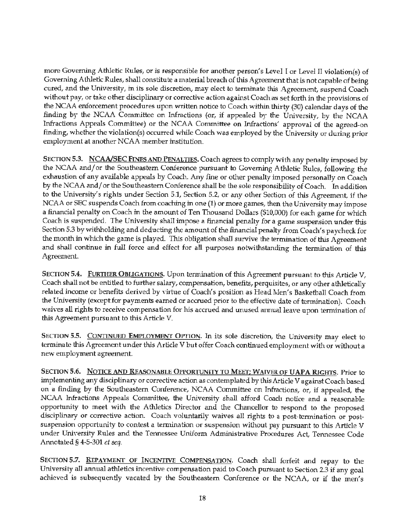more Governing Athletic Rules, or is responsible for another person's Level I or Level JI violation(s) of Governing Athletic Rules, shall constitute a material breach of this Agreement that is not capable of being cured, and the University, in its sole discretion, may elect to terminare this Agreement, suspend Coach without pay, or take other disciplinary or corrective action against Coach as set forth in the provisions of the NCAA enforcement procedures upon written notice to Coach within thirty (30) calendar days of the finding by the NCAA Committee on Infractions (or, if appealed by the University, by the NCAA Infractions Appeals Committee) or the NCAA Committee on Infractions' approval of the agreed-on finding, whether the violation(s) occurred while Coach was employed by the University or during prior employment at another NCAA member institution.

SECTION 5.3. **NCAA/SEC FINES** AND PENALTIES. Coach agrees to comply with any penalty imposed by the NCAA and/ or the Southeastern Conference pursuant to Governing Athletic Rules, following the exhaustion of any available appeals by Coach. Any fine or other penalty imposed personally on Coach by the NCAA and/ or the Southeastern Conference shall be the sole responsibility of Coach. In addition to the University's rights under Section 5.1, Section 5.2, or any other Section of this Agreement, if the NCAA or SEC suspends Coach from coaching in one (1) or more games, then the University may impose a financial penalty on Coach in the amount of Ten Thousand Dollars (\$10,000) for each game for which Coach is suspended. The University shall impose a financial penalty for a game suspension under this Section 5.3 by withholding and deducting the amount of the financial penalty from Coach's paycheck for the month in which the game is played. This obligation shall survive the termination of this Agreement and shall continue in full force and effect for all purposes notwithstanding the termination of this Agreement.

SECTION 5.4. FURTHER OBLIGATIONS. Upon termination of this Agreement pursuant to this Article V, Coach shall not be entitled to further salary, compensation, benefits, perquisites, or any other athletically related income or benefits derived by virtue of Coach's position as Head Men's Basketball Coach from the University (except for payments earned or accrued prior to the effective date of tennination). Coach waives all rights to receive compensation for his accrued and unused annual leave upon termination of **this** Agreement pursuant to this Article V.

SECTION 5.5. CONTINUED EMPLOYMENT OPTION. In its sole discretion, the University may elect to terminate this Agreement under this Article V but offer Coach continued employment with or without a new employment agreement.

SECTION 5.6. NOTICE AND REASONABLE OPPORTUNITY TO MEET; WAIVER OF **UAPA** RIGHTS. Prior to implementing any disciplinary or corrective action as contemplated by this Article V against Coach based on a finding by the Southeastern Conference, NCAA Committee on Infractions, or, if appealed, the NCAA Infractions Appeals Committee, the University shall afford Coach notice and a reasonable opportunity to meet with the Athletics Director and the Chancellor to respond to the proposed disciplinary or corrective action. Coach voluntarily waives all rights to a post-termination or postsuspension opportunity to contest a termination or suspension without pay pursuant to this Article V under University Rules and the Tennessee Uniform Administrative Procedures Act, Tennessee Code Annotated § 4-5-301 *et seq.* 

SECTION 5.7. REPAYMENT OF INCENTIVE COMPENSATION. Coach shall forfeit and repay to the University all annual athletics incentive compensation paid to Coach pursuant to Section 2.3 if any goal achieved is subsequently vacated by the Southeastern Conference or the NCAA, or if the men's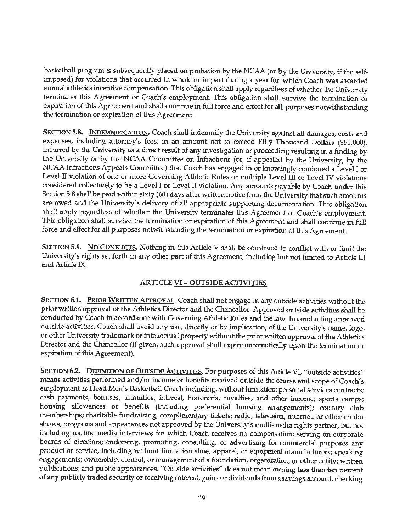basketball program is subsequently placed on probation by the NCAA (or by the University, if the selfimposed) for violations that occurred in whole or in part during a year for which Coach was awarded annual athletics incentive compensation. This obligation shall apply regardless of whether the University terminates this Agreement or Coach's employment This obligation shall survive the termination or expiration of this Agreement and shall continue in full force and effect for **all** purposes notwithstanding the termination or expiration of this Agreement.

SECTION 5.8. INDEMNIFICATION. Coach shall indemnify the University against all damages, costs and expenses, including attorney's fees, in an amount not to exceed Fifty Thousand Dollars (\$50,000), incurred by the University as a direct result of any investigation or proceeding resulting in a finding by the University or by the NCAA Committee on Infractions (or, if appealed by the University, by the NCAA Infractions Appeals Committee) that Coach has engaged in or knowingly condoned a Level I or Level II violation of one or more Governing Athletic Rules or multiple Level III or Level IV violations considered collectively to be a Level I or Level II violation. Any amounts payable by Coach under this Section 5.8 shall be paid within sixty (60) days after written notice from the University that such amounts are owed and the University's delivery of all appropriate supporting documentation. This obligation shall apply regardless of whether the University terminates this Agreement or Coach's employment. This obligation shall survive the termination or expiration of this Agreement and shall continue in full force and effect for all purposes notwithstanding the termination or expiration of this Agreement.

SECTION **5.9. No** CONFLICTS. Nothing in this Article V shall be construed to conflict with or limit the University's rights set forth in any other part of this Agreement, including but not limited to Article III and Article IX.

# **ARTICLE VI** - **OUTSIDE ACI1VITIES**

SECTION 6.1. PRIOR WRITTEN APPROVAL. Coach shall not engage in any outside activities without the prior written approval of the Athletics Director and the Chancellor. Approved outside activities shall be conducted by Coach in accordance with Governing Athletic Rules and the law. In conducting approved outside activities, Coach shall avoid any use, directly or by implication, of the University's name, logo, or other University trademark or intellectual property without the prior written approval of the Athletics Director and the Chancellor (if given, such approval shall expire automatically upon the termination or expiration of this Agreement).

SECTION 6.2. DEFINITION OF OUTSIDE ACTIVITIES. For purposes of this Article VI, "outside activities" means activities performed and/ or income or benefits received outside the course and scope of Coach's employment as Head Men's Basketball Coach including, without limitation: personal services contracts; cash payments, bonuses, annuities, interest, honoraria, royalties, and other income; sports camps; housing allowances or benefits (including preferential housing arrangements); country club memberships; charitable fundraising; complimentary tickets; radio, television, internet, or other media shows, programs and appearances not approved by the University's multi-media rights partner, but not including routine media interviews for which Coach receives no compensation; serving on corporate boards of directors; endorsing, promoting, consulting, or advertising for commercial purposes any product or service, including without limitation shoe, apparel, or equipment manufacturers; speaking engagements; ownership, control, or management of a foundation, organization, or other entity; written publications; and public appearances. "Outside activities" does not mean owning less than ten percent of any publicly traded security or receiving interest, gains or dividends from a savings account, checking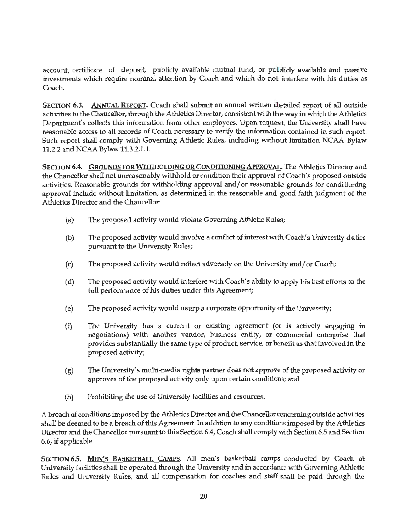account, certificate of deposit, publicly available mutual fund, or publicly available and passive investments which require nominal attention by Coach and which do not interfere with his duties as Coach.

SECTION 6.3. ANNUAL REPORT, Coach shall submit an annual written detailed report of all outside activities to the Chancellor, through the Athletics Director, consistent with the way in which the Athletics Department's collects this information from other employees. Upon request, the University shall have reasonable access to all records of Coach necessary to verify the information contained in such report. Such report shall comply with Governing Athletic Rules, including without limitation NCAA Bylaw 11.2.2 and NCAA Bylaw 11.3.2.l.l.

SECTION 6.4. **GROUNDS FOR WITHHOLDING OR CONDITIONING APPROVAL**. The Athletics Director and the Chancellor shall not unreasonably withhold or condition their approval of Coach's proposed outside activities. Reasonable grounds for withholding approval and/ or reasonable grounds for conditioning approval include without limitation, as determined in the reasonable and good faith judgment of the Athletics Director and the Chancellor:

- (a) The proposed activity would violate Governing Athletic Rules;
- (b) The proposed activity would involve a conflict of interest with Coach's University duties pursuant to the University Rules;
- (c) The proposed activity would reflect adversely on the University and/ or Coach;
- (d) The proposed activity would interfere with Coach's ability to apply his best efforts to the full performance of his duties under this Agreement;
- (e) The proposed activity would usurp a corporate opportunity of the University;
- (f) The University has a current or existing agreement (or is actively engaging in negotiations) with another vendor, business entity, or commercial enterprise that provides substantially the same type of product, service, or benefit as that involved in the proposed activity;
- $(g)$  The University's multi-media rights partner does not approve of the proposed activity or approves of the proposed activity only upon certain conditions; and
- (h) Prohibiting the use of University facilities and resources.

A breach of conditions imposed by the Athletics Director and the Chancellor concerning outside activities shall be deemed to be a breach of this Agreement. In addition to any conditions imposed by the Athletics Director and the Chancellor pursuant to this Section 6.4, Coach shall comply with Section 6.5 and Section 6.6, if applicable.

SECTION 6.5. MEN'S BASKETBALL CAMPS. All men's basketball camps conducted by Coach at University facilities shall be operated through the University and in accordance with Governing Athletic Rules and University Rules, and all compensation for coaches and staff shall be paid through the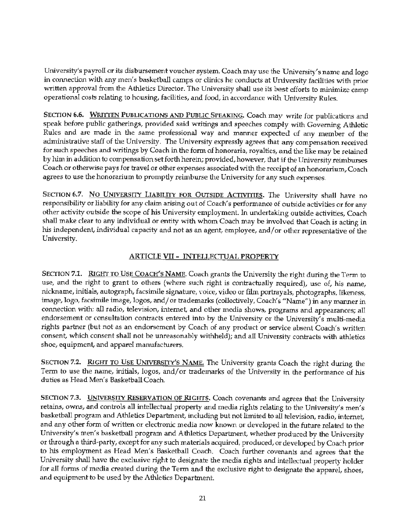University's payroll or its disbursement voucher system. Coach may use the University's name and logo in connection with any men's basketball camps or clinics he conducts at University facilities with prior written approval from the Athletics Director. The University shall use its best efforts to minimize camp operational costs relating to housing, facilities, and food, in accordance with University Rules.

SECTION 6.6. WRITTEN PUBLICATIONS AND PUBLIC SPEAKING. Coach may write for publications and speak before public gatherings, provided said writings and speeches comply with Governing Athletic Rules and are made in the same professional way and manner expected of any member of the administrative staff of the University. The University expressly agrees that any compensation received for such speeches and writings by Coach in the form of honoraria, royalties, and the like may be retained by him in addition to compensation set forth herein; provided, however, that if the University reimburses Coach or otherwise pays for travel or other expenses associated with the receipt of an honorarium, Coach agrees to use the honorarium to promptly reimburse the University for any such expenses.

SECTION 6.7. NO UNIVERSITY LIABILITY FOR OUTSIDE ACTIVITIES. The University shall have no responsibility or liability for any claim arising out of Coach's performance of outside activities or for any other activity outside the scope of his University employment. In undertaking outside activities, Coach shall make clear to any individual or entity with whom Coach may be involved that Coach is acting in his independent, individual capacity and not as an agent, employee, and/or other representative of the University.

# **ARTICLE VII** - INTELLECIUAL **PROPERTY**

SECTION 7.1. RIGHT TO USE COACH'S NAME. Coach grants the University the right during the Term to use, and the right to grant to others (where such right is contractually required), use of, his name, nickname, initials, autograph, facsimile signature, voice, video or film portrayals, photographs, likeness, image, logo, facsimile image, logos, and/ or trademarks (collectively, Coach's "Name") in any manner in connection with: all radio, television, internet, and other media shows, programs and appearances; all endorsement or consultation contracts entered into by the University or the University's multi-media rights partner (but not as an endorsement by Coach of any product or service absent Coach's written consent, which consent shall not be unreasonably withheld); and all University contracts with athletics shoe, equipment, and apparel manufacturers.

SECTION 7.2. RIGHT TO USE UNIVERSITY'S NAME. The University grants Coach the right during the Term to use the name, initials, logos, and/or trademarks of the University in the performance of his duties as Head Men's Basketball Coach.

SECTION 7.3. UNIVERSITY RESERVATION OF RIGHTS. Coach covenants and agrees that the University retains, owns, and controls all intellectual property and media rights relating to the University's men's basketball program and Athletics Department, including but not limited to all television, radio, internet, and any other form of written or electronic media now known or developed in the future related to the University's men's basketball program and Athletics Department, whether produced by the University or through a third-party, except for any such materials acquired, produced, or developed by Coach prior to his employment as Head Men's Basketball Coach. Coach further covenants and agrees that the University shall have the exclusive right to designate the media rights and intellectual property holder for all fonns of media created during the Term and the exclusive right *to* designate the apparel, shoes, and equipment to be used by the Athletics Department.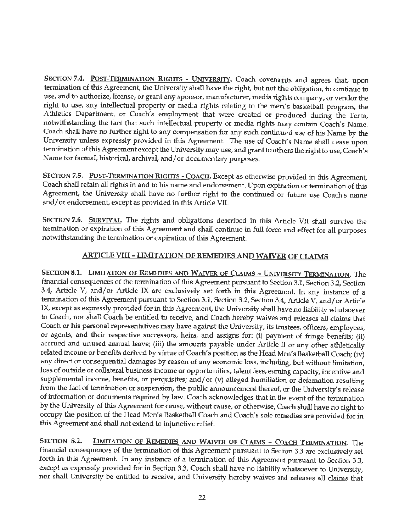SECTION 7.4. POST-TERMINATION RIGHTS - UNIVERSITY. Coach covenants and agrees that, upon termination of this Agreement, the University shall have the right, but not the obligation, to continue to use, and to authorize, license, or grant any sponsor, manufacturer, media rights company, or vendor the right to use, any intellectual property or media rights relating to the men's basketball program, the Athletics Department, or Coach's employment that were created or produced during the Term, notwithstanding the fact that such intellectual property or media rights may contain Coach's Name. Coach shall have no further right to any compensation for any such continued use of his Name by the University unless expressly provided in this Agreement. The use of Coach's Name shall cease upon termination of this Agreement except the University may use, and grant to others the right to use, Coach's Name for factual, historical, archival, and/ or documentary purposes.

SECTION 7.5. POST-TERMINATION RIGHTS - COACH. Except as otherwise provided in this Agreement, Coach shall retain all rights in and to his name and endorsement. Upon expiration. or termination of this Agreement, the University shall have no further right to the continued or future use Coach's name and/ or endorsement, except as provided in this Article VIL

SECTION 7.6. SURVIVAL. The rights and obligations described in this Article VII shall survive the termination or expiration of this Agreement and shall continue in full force and effect for all purposes notwithstanding the termination or expiration of this Agreement.

# ARTICLE VIII - **LIMITATION OF REMEDIES AND WAIVER OF CLAIMS**

**SECTION 8.1. LIMITATION OF REMEDIES AND WAIVER OF CLAIMS - UNIVERSITY TERMINATION.** The financial consequences of the termination of this Agreement pursuant to Section 3.1, Section 3.2, Section 3.4, Article V, and/or Article IX are exclusively set forth in this Agreement. In any instance of a termination of this Agreement pursuant to Section 3.1, Section 3.2, Section 3.4, Article V, and/ or Article IX, except as expressly provided for in this Agreement, the University shall have no liability whatsoever to Coach, nor shall Coach be entitled to receive, and Coach hereby waives and releases all claims that Coach or his personal representatives may have against the University, its trustees, officers, employees, or agents, and their respective successors, heirs, and assigns for: (i) payment of fringe benefits; (ii) accrued and unused annual leave; (iii) the amounts payable under Article II or any other athletically related income or benefits derived by virtue of Coach's position as the Head Men's Basketball Coach; (iv) any direct or consequential damages by reason of any economic loss, including, but without limitation, loss of outside or collateral business income or opportunities, talent fees, earning capacity, incentive and supplemental income, benefits, or perquisites; and/ or (v) alleged humiliation or defamation resulting from the fact of termination or suspension, the public announcement thereof, or the University's release of information or documents required by law. Coach acknowledges that in the event of the termination by the University of this Agreement for cause, without cause, or otherwise, Coach shall have no right to occupy the position of the Head Men's Basketball Coach and Coach's sole remedies are provided for in this Agreement and shall not extend to injunctive relief.

**SECTION 8.2. LIMITATION** OF **REMEDlES AND WAIVER OF CLAIMS** - **COACH TERMINATION.** The financial consequences of the termination of this Agreement pursuant to Section 3.3 are exclusively set forth in this Agreement. In any instance of a termination of this Agreement pursuant to Section 3.3, except as expressly provided for in Section 3.3, Coach shall have no liability whatsoever to University, nor shall University be entitled to receive, and University hereby waives and releases all claims that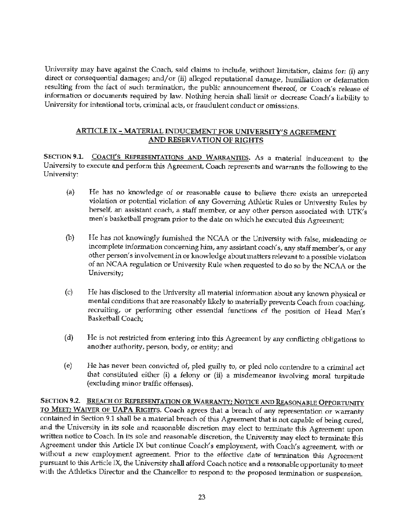University may have against the Coach, said claims to include, without limitation, claims for: (i) any direct or consequential damages; and/ or (ii) alleged reputational damage, humiliation or defamation resulting from the fact of such termination, the public announcement thereof, or Coach's release of information or documents required by law. Nothing herein shall limit or decrease Coach's liability to University for intentional torts, criminal acts, or fraudulent conduct or omissions.

## **ARTICLE** IX - **MATERIAL INDUCEMENT FOR UNIVERSITY'S AGREEMENT AND RESERVATION OF RIGHTS**

SECTION 9.1. COACH'S REPRESENTATIONS AND WARRANTIES. As a material inducement to the University to execute and perform this Agreement, Coach represents and warrants the following to the University:

- (a) He has no knowledge of or reasonable cause to believe there exists an unreported violation or potential violation of any Governing Athletic Rules or University Rules by herself, an assistant coach, a staff member, or any other person associated with UTK's men's basketball program prior to the date on which he executed this Agreement;
- (b) He has not knowingly furnished the NCAA or the University with false, misleading or incomplete information concerning him, any assistant coach's, any staff member's, or any other person's involvement in or knowledge about matters relevant to a possible violation of an NCAA regulation or University Rule when requested to do so by the NCAA or the University;
- (c) He has disclosed to the University all material :information about any known physical or mental conditions that are reasonably likely to materially prevents Coach from coaching, recruiting, or performing other essential functions of the position of Head Men's Basketball Coach;
- (d) He is not restricted from entering into this Agreement by any conflicting obligations to another authority, person, body, or entity; and
- (e) He has never been convicted of, pied guilty to, or pied nolo contendre to a criminal act that constituted either (i) a felony or (ii) a misdemeanor involving moral turpitude (excluding minor traffic offenses).

SECTION 9.2. BREACH OF **REPRESENTATION OR WARRANTY; NOTICE AND REASONABLE OPPORTUNITY** TO MEET; WAIVER OF **UAPA** RIGHTS. Coach agrees that a breach of any representation or warranty contained in Section 9.1 shall be a material breach of this Agreement that is not capable of being cured, and the University in its sole and reasonable discretion may elect to terminate this Agreement upon written notice to Coach. In its sole and reasonable discretion, the University may elect to terminate this Agreement under this Article IX but continue Coach's employment, with Coach's agreement, with or without a new employment agreement. Prior to the effective date of termination this Agreement pursuant to this Article IX, the University shall afford Coach notice and a reasonable opportunity to meet with the Athletics Director and the Chancellor to respond to the proposed termination or suspension.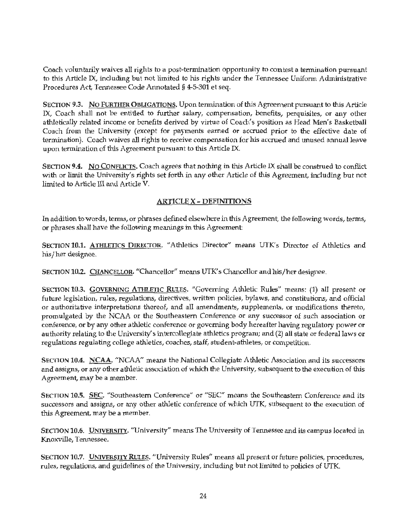Coach voluntarily waives all rights to a post-termination opportunity to contest a termination pursuant to this Article IX, including but not limited to his rights under the Tennessee Uniform Administrative Procedures Act, Tennessee Code Annotated§ 4-5-301 et seq.

SECTION 9.3. NO FURTHER OBLIGATIONS. Upon termination of this Agreement pursuant to this Article IX, Coach shall not be entitled to further salary, compensation, benefits, perquisites, or any other athletically related income or benefits derived by virtue of Coach's position as Head Men's Basketball Coach from the University (except for payments earned or accrued prior to the effective date of termination). Coach waives all rights to receive compensation for his accrued and unused annual leave upon termination of this Agreement pursuant to this Article IX.

SECTION 9.4. No CONFLICTS. Coach agrees that nothing in this Article IX shall be construed to conflict with or limit the University's rights set forth in any other Article of this Agreement, including but not limited to Article III and Article V.

# **ARTICLE X** - **DEFINITIONS**

In addition to words, terms, or phrases defined elsewhere in this Agreement, the following words, terms, or phrases shall have the following meanings in this Agreement:

SECTION 10.1. ATHLETICS DIRECTOR. "Athletics Director" means UTK's Director of Athletics and his/her designee.

SECTION 10.2. CHANCELLOR. "Chancellor" means UTK's Chancellor and his/her designee.

SECTION 10.3. GOVERNING ATHLETIC RULES. "Governing Athletic Rules" means: (1) all present or future legislation, rules, regulations, directives, written policies, bylaws, and constitutions, and official or authoritative interpretations thereof, and all amendments, supplements, or modifications thereto, promulgated by the NCAA or the Southeastern Conference or any successor of such association or conference, or by any ofher athletic conference or governing body hereafter having regulatory power or authority relating to the University's intercollegiate athletics program; and (2) all state or federal laws or regulations regulating college athletics, coaches, staff, student-athletes, or competition.

SECTION 10.4. NCAA, "NCAA" means the National Collegiate Athletic Association and its successors and assigns, or any other athletic association of which the University, subsequent to the execution of this Agreement, may be a member.

SECTION **10.5.** SEC. "Southeastern Conference" or "SEC" means the Southeastern Conference and its successors and assigns, or any other athletic conference of which UTK, subsequent to the execution of this Agreement, may be a member.

SECTION 10.6. UNIVERSITY. "University" means The University of Tennessee and its campus located in Knoxville, Tennessee.

SECTION 10.7. UNIVERSITY RULES. "University Rules" means all present or future policies, procedures, rules, regulations, and guidelines of the University, including but not limited to policies of UTK.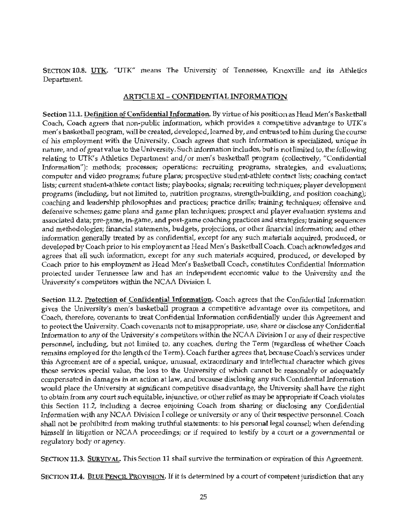SECTION 10.8. UTK. "UTK" means The University of Tennessee, Knoxville and its Athletics Department.

## **ARTICLE XI** - **CONFIDENTIAL INFORMATION**

**Section 11.1. Definition of Confidential Information.** By virtue of his position as Head Men's Basketball Coach, Coach agrees that non-public information, which provides a competitive advantage to UTK's men's basketball program, will be created, developed, learned by, and entrusted to him during the course of his employment with the University. Coach agrees that such information is specialized, unique in nature, and of great value to the University. Such information includes, but is not limited to, the following relating to UTK's Athletics Department and/or men's basketball program (collectively, "Confidential Information"): methods; processes; operations: recruiting programs, strategies, and evaluations; computer and video programs; future plans; prospective student-athlete contact lists; coaching contact lists; current student-athlete contact lists; playbooks; signals; recruiting techniques; player development programs (including, but not limited to, nutrition programs, strength-building, and position coaching); coaching and leadership philosophies and practices; practice drills; training techniques; offensive and defensive schemes; game plans and game plan techniques; prospect and player evaluation systems and associated data; pre-game, in-game, and post-game coaching practices and strategies; training sequences and methodologies; financial statements, budgets, projections, or other financial information; and other information generally treated by as confidential, except for any such materials acquired, produced, or developed by Coach prior to his employment as Head Men's Basketball Coach. Coach acknowledges and agrees that all such information, except for any such materials acquired, produced, or developed by Coach prior to his employment as Head Men's Basketball Coach, constitutes Confidential Information protected under Tennessee law and has an independent economic value to the University and the University's competitors within the NCAA Division I.

**Section 11.2. Protection of Confidential Information.** Coach agrees that the Confidential Information gives the University's men's basketball program a competitive advantage over its competitors, and Coach, therefore, covenants to treat Confidential Information confidentially under this Agreement and to protect the University. Coach covenants not to misappropriate, use, share or disclose any Confidential Information to any of the University's competitors within the NCAA Division I or any of their respective personnel, including, but not limited to, any coaches, during the Term (regardless of whether Coach remains employed for the length of the Term). Coach further agrees that, because Coach's services under this Agreement are of a special, unique, unusual, extraordinary and intellectual character which gives those services special value, the loss to the University of which cannot be reasonably or adequately compensated in damages in an action at law, and because disclosing any such Confidential Information would place the University **at** significant competitive disadvantage, the Universitr shall have the right to obtain from any court such equitable, injunctive, or other relief as may be appropriate if Coach violates this Section 11.2, including a decree enjoining Coach from sharing or disclosing any Confidential Information with any NCAA Division I college or university or any of their respective personnel. Coach shall not be prohibited from making truthful statements: to his personal legal counsel; when defending himself in litigation or NCAA proceedings; or if required to testify by a court or a governmental or regulatory body or agency.

SECTION 11.3. SURVIVAL. This Section 11 shall survive the termination or expiration of this Agreement.

SECTION **11.4.** BLUE PENCIL PROVISION. If it is determined by a court of competent jurisdiction that any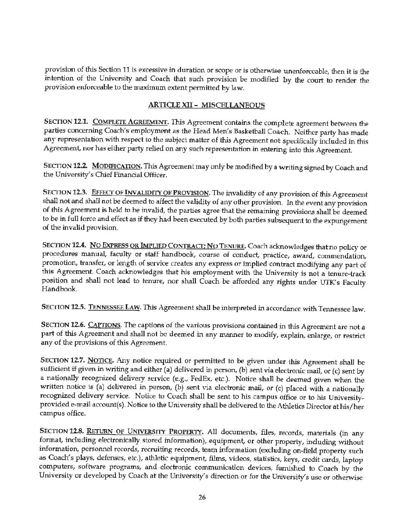provision of this Section 11 is excessive in duration or scope or is otherwise unenforceable, then it is the intention of the University and Coach that such provision be modified by the court to render the provision enforceable to the maximum extent permitted by law.

# ARTICLE XII - MISCELLANEOUS

SECTION 12.1. COMPLETE AGREEMENT. This Agreement contains the complete agreement between the parties concerning Coach's employment as the Head Men's Basketball Coach. Neither party has made any representation with respect to the subject matter of this Agreement not specifically included in this Agreement, nor has either party relied on any such representation in entering into this Agreement.

SECTION 12.2. MODIFICATION. This Agreement may only be modified by a writing signed by Coach and the University's Chief Financial Officer.

SECTION 12.3. EFFECT OF INVALIDITY OF PROVISION. The invalidity of any provision of this Agreement shall not and shall not be deemed to affect the validity of any other provision. In the event any provision of this Agreement is held to be invalid, the parties agree that the remaining provisions shall be deemed to be in full force and effect as if they had been executed by both parties subsequent to the expungement of the invalid provision.

SECTION **12.4. No** EXPRESS OR IMPLIED CONTRACT; No TENURE. Coach acknowledges that no pohcy or procedures manual, faculty or staff handbook, course of conduct, practice, award, commendation, promotion, transfer, or length of service creates any express or implied contract modifying any part of this Agreement. Coach acknowledges that his employment with the University is not a tenute-track position and shall not lead to tenure, nor shall Coach be afforded any rights under UTK's Faculty Handbook.

SECTION 12.5. TENNESSEE LAW. This Agreement shall be interpreted in accordance with Tennessee law.

SECTION 12.6. CAPTIONS. The captions of the various provisions contained in this Agreement are not a part of this Agreement and shall not be deemed in any manner to modify, explain, enlarge, or restrict any of the provisions of this Agreement.

SECTION 12.7. NOTICE. Any notice required or permitted to be given under this Agreement shall be sufficient if given in writing and either (a) delivered in person, (b) sent via electronic mail, or (c) sent by a nationally recognized delivery service (e.g., FedEx, etc.). Notice shall be deemed given when the written notice is (a) delivered in person, (b) sent via electronic mail, or (c) placed with a nationally recognized delivery service. Notice to Coach shall be sent to his campus office or to his Universityprovided e-mail account(s). Notice to the University shall be delivered to the Athletics Director at his/her campus office.

SECTION 12.8. RETURN OF UNIVERSITY PROPERTY. All documents, files, records, materials (in any format, including electronically stored information), equipment, or other property, including without information, personnel tecords, recruiting records, team information (excluding on-field property such as Coach's plays, defenses, etc.), athletic equipment, films, videos, statistics, keys, credit cards, laptop computers, software programs, and electronic communication devices, furnished to Coach by the University or developed by Coach at the University's direction or for the University's use or otherwise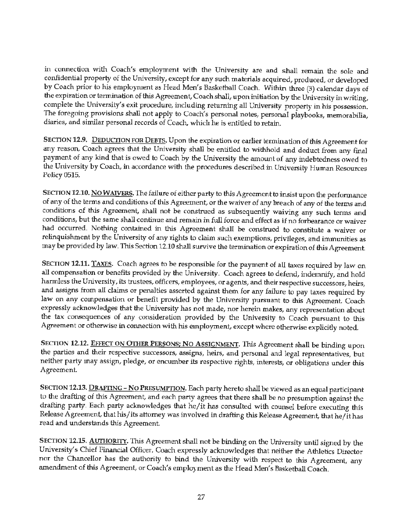in connection with Coach's employment with the University are and shall remain the sole and confidential property of the University, except for any such materials acquired, produced, or developed by Coach prior to his employment as Head Men's Basketball Coach. Within three (3) calendar days of the expiration or termination of this Agreement, Coach shall, upon initiation by the University in writing, complete the University's exit procedure, including returning all University property in his possession. The foregoing provisions shall not apply to Coach's personal notes, personal playbooks, memorabilia, diaries, and similar personal records of Coach, which he is entitled to retain.

SECTION 12.9. DEDUCTION FOR DEBTS. Upon the expiration or earlier termination of this Agreement for any reason, Coach agrees that the University shall be entitled to withhold and deduct from any final payment of any kind that is owed to Coach by the University the amount of any indebtedness owed to the University by Coach, in accordance with the procedures described in University Human Resources Policy 0515.

SECTION 12.10. **No WAJVERS.** The failure of either party to this Agreement to insist upon the performance of any of the terms and conditions of this Agreement, or the waiver of any breach of any of the terms and conditions of this Agreement, shall not be construed as subsequently waiving any such terms and conditions, but the same shall continue and remain in full force and effect as if no forbearance or waiver had occurred. Nothing contained in this Agreement shall be construed to constitute a waiver or relinquishment by the University of any rights to claim such exemptions, privileges, and immunities as may be provided by law. This Section 12.10 shall survive the termination or expiration of this Agreement.

SECTION 12.11. TAXES. Coach agrees to be responsible for the payment of all taxes required by law on all compensation or benefits provided by the University. Coach agrees to defend, indemnify, and hold harmless the University, its trustees, officers, employees, or agents, and their respective successors, heirs, and assigns from all claims or penalties asserted against them for any failure to pay taxes required by law on any compensation or benefit provided by the University pursuant to this Agreement. Coach expressly acknowledges that the University has not made, nor herein makes, any representation about the tax consequences of any consideration provided by the University to Coach pursuant to this Agreement or otherwise in connection with his employment, except where otherwise explicitly noted.

SECTION 12.12. EFFECT ON OTHER PERSONS; NO ASSIGNMENT. This Agreement shall be binding upon the parties and their respective successors, assigns, heirs, and personal and legal representatives, but neither party may assign, pledge, or encumber its respective rights, interests, or obligations under this Agreement.

SECTION 12.13. DRAFTING - NO PRESUMPTION. Each party hereto shall be viewed as an equal participant to the drafting of this Agreement, and each party agrees that there shall be no presumption against the drafting party. Each party acknowledges that he/it has consulted with counsel before executing this Release Agreement, that his/ its attorney was involved in drafting this Release Agreement, that he/ it has read and understands this Agreement.

SECTION 12.15. **AUTHORITY**. This Agreement shall not be binding on the University until signed by the University's Chief Financial Officer. Coach expressly acknowledges that neither the Athletics Director nor the Chancellor has the authority to bind the University with respect to this Agreement, any amendment of this Agreement, or Coach's employment as the Head Men's Basketball Coach.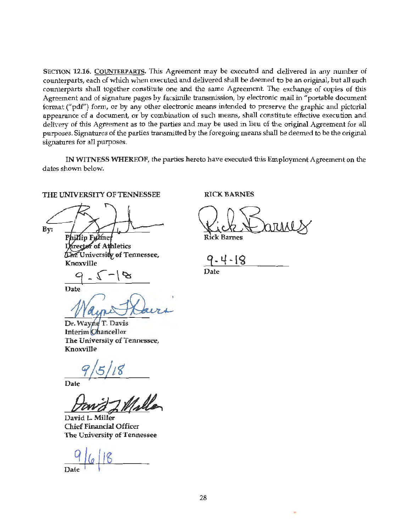SECTION **12.16.** COUNTERPARTS. This Agreement may be executed and delivered in any number of counterparts, each of which when executed and delivered shall be deemed to be an original, but all such counterparts shall together constitute one and the same Agreement. The exchange of copies of this Agreement and of signature pages by facsimile transmission, by electronic mail in "portable document format ("pdf") form, or by any other electronic means intended to preserve the graphic and pictorial appearance of a document, or by combination of such means, shall constitute effective execution and delivery of this Agreement as to the parties and may be used in lieu of the original Agreement for all purposes. Signatures of the parties transmitted by the foregoing means shall be deemed to be the original signatures for all purposes.

**IN WITNESS WHEREOF,** the parties hereto have executed this Employment Agreement on the dates shown below.

**THE UNIVERSITY OF TENNESSEE** 

By: Phillip Fulmer

Director of Athletics The University of Tennessee, Knoxville

**RICK BARNES** 

Rick Barnes

-4-18

**Date** 

 $9 - 2 - 8$ 

**Date** 

Dr. Wayne T. Davis **Interim Chancellor The University of Tennessee, Knoxville** 

Date

David 7 Miller

David L. Miller Chief Financial Officer The University of Tennessee

..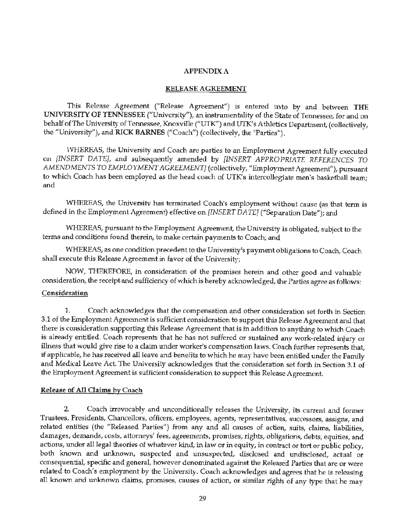#### **APPENDIX A**

#### **RELEASE AGREEMENT**

This Release Agreement ("Release Agreement") is entered into by and between THE **UNIVERSITY OF TENNESSEE** ("University"), an instrumentality of the State of Tennessee, for and on behalf of The University of Tennessee, Knoxville ("UTK") and UTK's Athletics Department, (collectively, the "University"), and **RICK BARNES** ("Coach") (collectively, the "Parties").

,VHEREAS, the University and Coach are parties to an Employment Agreement fully executed on *[INSERT DATE],* and subsequently amended by *[INSERT APPROPRIATE REFERENCES TO AMENDMENTS TO EMPLOYMENT AGREEMENT]* (collectively, "Employment Agreement"), pursuant to which Coach has been employed as the head coach of UTK's intercollegiate men's basketball team; and

WHEREAS, the University has terminated Coach's employment without cause (as that term is defined in the Employment Agreement) effective on *[INSERT DATE]* ("Separation Date"); and

WHEREAS, pursuant to the Employment Agreement, the University is obligated, subject to the terms and conditions found therein, to make certain payments to Coach; and

WHEREAS, as one condition precedent to the University's payment obligations to Coach, Coach shall execute this Release Agreement in favor of the University;

NOW, THEREFORE, in consideration of the promises herein and other good and valuable consideration, the receipt and sufficiency of which is hereby acknowledged, the Parties agree as follows:

#### Consideration

1. Coach acknowledges that the compensation and other consideration set forth in Section 3.1 of the Employment Agreement is sufficient consideration to support this Release Agreement and that there is consideration supporting this Release Agreement that is in addition to anything to which Coach is already entitled. Coach represents that he has not suffered or sustained any work-related injury or illness that would give rise to a claim under worker's compensation laws. Coach further represents that, if applicable, he has received all leave and benefits to which he may have been entitled under the Family and Medical Leave Act. The University acknowledges that the consideration set forth in Section 3.1 of the Employment Agreement is sufficient consideration to support this Release Agreement.

#### Release of All Oaims by Coach

2. Coach irrevocably and unconditionally releases the University, its current and former Trustees, Presidents, Chancellors, officers, employees, agents, representatives, successors, assigns, and related entities (the "Released Parties") from any and all causes of action, suits, claims, liabilities, damages, demands, costs, attorneys' fees, agreements, promises, rights, obligations, debts, equities, and actions, under all legal theories of whatever kind, in law or in equity, in contract or tort or public policy, both known and unknown, suspected and unsuspected, disclosed and undisclosed, actual or consequential, specific and general, however denominated against the Released Parties that are or were related to Coach's employment by the University. Coach acknowledges and agrees that he is releasing all known and unknown claims, promises, causes of action, or similar rights of any type that he may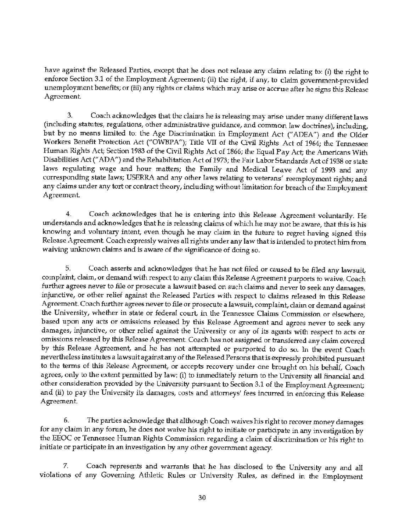have against the Released Parties, except that he does not release any claim relating to: (i) the right to enforce Section 3.1 of the Employment Agreement; (ii) the right, if any, to claim government-provided unemployment benefits; or (iii) any rights or claims which may arise or accrue after he signs this Release Agreement.

3. Coach acknowledges that the claims he is releasing may arise under many different laws (including statutes, regulations, other administrative guidance, and common law doctrines), including, but by no means limited to: the Age Discrimination in Employment Act ("ADEA'') and the Older Workers Benefit Protection Act ("OWBPA"); Title VII of the Gvil Rights Act of 1964; the Tennessee Human Rights Act; Section 1983 of the Civil Rights Act of 1866; the Equal Pay Act; the Americans With Disabilities Act(" ADA") and the Rehabilitation Act of 1973; the Fair Labor Standards Act of 1938 or state laws regulating wage and hour matters; the Family and Medical Leave Act of 1993 and any corresponding state laws; USERRA and any other laws relating to veterans' reemployment rights; and any claims under any tort or contract theory, including without limitation for breach of the Employment Agreement.

4. Coach acknowledges that he is entering into this Release Agreement voluntarily. He understands and acknowledges that he is releasing claims of which he may not be aware, that this is his knowing and voluntary intent, even though he may claim in the future to regret having signed this Release Agreement. Coach expressly waives all rights under any law that is intended to protect him from waiving unknown claims and is aware of the significance of doing so.

5. Coach asserts and acknowledges that he has not filed or caused to be filed any lawsuit, complaint, claim, or demand with respect to any claim this Release Agreement purports to waive. Coach further agrees never to file or prosecute a lawsuit based on such claims and never to seek any damages, injunctive, or other relief against the Released Parties with respect to claims released in this Release Agreement. Coach further agrees never to file or prosecute a lawsuit, complaint, claim or demand against the University, whether in state or federal court, in the Tennessee Claims Commission or elsewhere, based upon any acts or omissions released by this Release Agreement and agrees never to seek any damages, injunctive, or other relief against the University or any of its agents with respect to acts or omissions released by this Release Agreement. Coach has not assigned or transferred any claim covered by this Release Agreement, and he has not attempted or purported to do so. In the event Coach nevertheless institutes a lawsuit against any of the Released Persons that is expressly prohibited pursuant to the terms of this Release Agreement, or accepts recovery under one brought on his behalf, Coach agrees, only to the extent permitted by law: (i) to immediately return to the University all financial and other consideration provided by the University pursuant to Section 3.1 of the Employment Agreement; and (ii) to pay the University its damages, costs and attorneys' fees incurred in enforcing this Release Agreement

6. The parties acknowledge that although Coach waives his right to recover money damages for any claim in any forum, he does not waive his right to initiate or participate in any investigation by the EEOC or Tennessee Human Rights Commission regarding a claim of discrimination or his right to initiate or participate in an investigation by any other government agency.

7. Coach represents and warrants that he has disclosed to the University any and all violations of any Governing Athletic Rules or University Rules, as defined in the Employment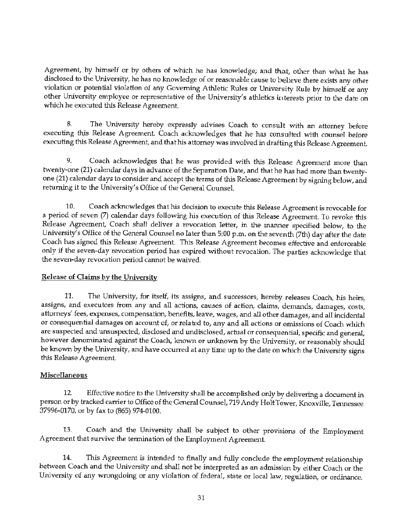Agreement, by himself or by others of which he has knowledge; and that, other than what he has disclosed to the University, he has no knowledge of or reasonable cause to believe there exists any other violation or potential violation of any Governing Athletic Rules or University Rule by himself or any other University employee or representative of the University's athletics interests prior to the date on which he executed this Release Agreement.

8. The University hereby expressly advises Coach to consult with an attorney before executing this Release Agreement. Coach acknowledges that he has consulted with counsel before executing this Release Agreement, and that his attorney was involved in drafting this Release Agreement.

9. Coach acknowledges that he was provided with this Release Agreement more than twenty-one (21) calendar days in advance of the Separation Date, and that he has had more than twentyone (21) calendar days to consider and accept the terms of this Release Agreement by signing below, and returning it to the University's Office of the General Counsel.

10. Coach acknowledges that his decision to execute this Release Agreement is revocable for a period of seven (7) calendar days following his execution of this Release Agreement. To revoke this Release Agreement, Coach shall deliver a revocation letter, in the manner specified below, to the University's Office of the General Counsel no later than 5:00 p.m. on the seventh (7th) day after the date Coach has signed this Release Agreement. This Release Agreement becomes effective and enforceable only if the seven-day revocation period has expired without revocation. The parties acknowledge that the seven-day revocation period cannot be waived.

# Release of Claims by the University

11. The University, for itself, its assigns, and successors, hereby releases Coach, his heirs, assigns, and executors from any and all actions, causes of action, claims, demands, damages, costs, attorneys' fees, expenses, compensation, benefits, leave, wages, and all other damages, and all incidental or consequential damages on account of, or related to, any and all actions or omissions of Coach which are suspected and unsuspected, disclosed and undisclosed, actual or consequential, specific and general, however denominated against the Coach, known or unknown by the University, or reasonably should be known by the University, and have occurred at any time up to the date on which the University signs this Release Agreement.

# **Miscellaneous**

12. Effective notice to the University shall *be* accomplished only by delivering a document in person or by tracked carrier to Office of the General Counsel, 719 Andy Holt Tower, Knoxville, Tennessee 37996-0170, or by fax to (865) 974-0100.

13. Coach and the University shall be subject to other provisions of the Employment Agreement that survive the termination of the Employment Agreement.

14. This Agreement is intended to finally and fully conclude the employment relationship between Coach and the University and shall not be interpreted as an admission by either Coach or the University of any wrongdoing or any violation of federal, state or local law, regulation, or ordinance.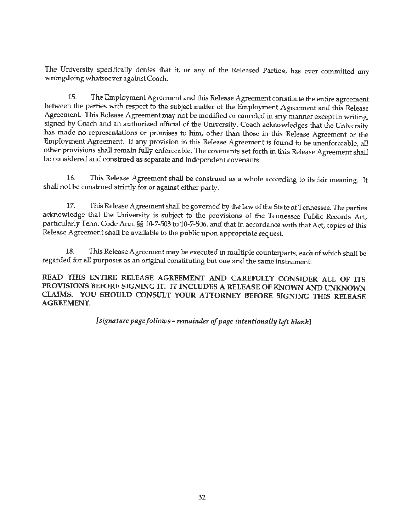The University specifically denies that it, or any of the Released Parties, has ever committed any wrongdoing whatsoever against Coach.

15. The Employment Agreement and this Release Agreement constitute the entire agreement between the parties with respect to the subject matter of the Employment Agreement and this Release Agreement. This Release Agreement may not be modified or canceled in any manner except in writing, signed by Coach and an authorized official of the University. Coach acknowledges that the University has made no representations or promises to him, other than those in this Release Agreement or the Employment Agreement. If any provision in this Release Agreement is found to be unenforceable, all other provisions shall remain fully enforceable. The covenants set forth in this Release Agreement shalI be considered and construed as separate and independent covenants.

16. This Release Agreement shall be construed as a whole according to its fair meaning. It shall not be construed strictly for or against either party.

17. This Release Agreement shall be governed by the law of the State of Tennessee. The parties acknowledge that the University is subject to the provisions of the Tennessee Public Records Act, particularly Tenn. Code Ann. §§ 10-7-503 to 10-7-506, and that in accordance with that Act, copies of this Release Agreement shall be available to the public upon appropriate request

18. This Release Agreement may be executed in multiple counterparts, each of which shall be regarded for all purposes as an original constituting but one and the same instrument.

READ THIS ENTIRE RELEASE AGREEMENT AND CAREFULLY CONSIDER ALL OF ITS PROVISIONS BEFORE SIGNING IT. IT INCLUDES A RELEASE OF KNOWN AND UNKNOWN CLAIMS. YOU SHOULD CONSULT YOUR ATTORNEY BEFORE SIGNING THIS RELEASE AGREEMENT.

*[signature page follows* - *remainder of page intentionally left blank]*